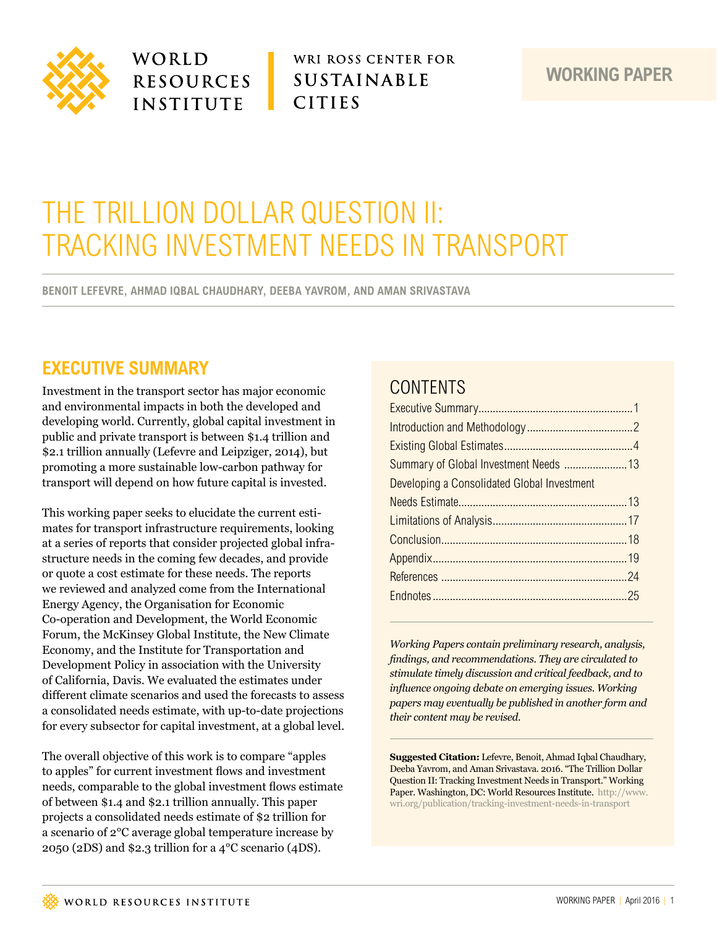

WORLD **RESOURCES INSTITUTE** 

WRI ROSS CENTER FOR **SUSTAINABLE CITIES** 

### **WORKING PAPER**

# THE TRILLION DOLLAR QUESTION II: TRACKING INVESTMENT NEEDS IN TRANSPORT

**BENOIT LEFEVRE, AHMAD IQBAL CHAUDHARY, DEEBA YAVROM, AND AMAN SRIVASTAVA** 

# **EXECUTIVE SUMMARY**

Investment in the transport sector has major economic and environmental impacts in both the developed and developing world. Currently, global capital investment in public and private transport is between \$1.4 trillion and \$2.1 trillion annually (Lefevre and Leipziger, 2014), but promoting a more sustainable low-carbon pathway for transport will depend on how future capital is invested.

This working paper seeks to elucidate the current estimates for transport infrastructure requirements, looking at a series of reports that consider projected global infrastructure needs in the coming few decades, and provide or quote a cost estimate for these needs. The reports we reviewed and analyzed come from the International Energy Agency, the Organisation for Economic Co-operation and Development, the World Economic Forum, the McKinsey Global Institute, the New Climate Economy, and the Institute for Transportation and Development Policy in association with the University of California, Davis. We evaluated the estimates under different climate scenarios and used the forecasts to assess a consolidated needs estimate, with up-to-date projections for every subsector for capital investment, at a global level.

The overall objective of this work is to compare "apples to apples" for current investment flows and investment needs, comparable to the global investment flows estimate of between \$1.4 and \$2.1 trillion annually. This paper projects a consolidated needs estimate of \$2 trillion for a scenario of 2°C average global temperature increase by 2050 (2DS) and \$2.3 trillion for a 4°C scenario (4DS).

# **CONTENTS**

| Developing a Consolidated Global Investment |
|---------------------------------------------|
|                                             |
|                                             |
|                                             |
|                                             |
|                                             |
|                                             |

*Working Papers contain preliminary research, analysis, findings, and recommendations. They are circulated to stimulate timely discussion and critical feedback, and to influence ongoing debate on emerging issues. Working papers may eventually be published in another form and their content may be revised.*

**Suggested Citation:** Lefevre, Benoit, Ahmad Iqbal Chaudhary, Deeba Yavrom, and Aman Srivastava. 2016. "The Trillion Dollar Question II: Tracking Investment Needs in Transport." Working Paper. Washington, DC: World Resources Institute. [http://www.](http://www.wri.org/publication/tracking) [wri.org/publication/tracking-](http://www.wri.org/publication/tracking)investment-needs-in-transport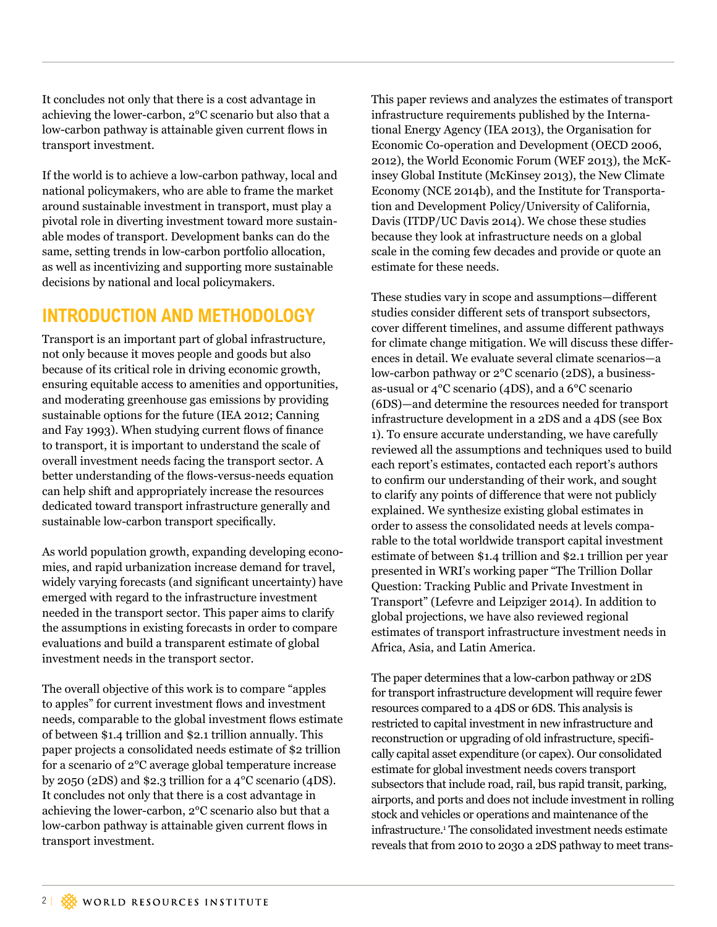<span id="page-1-0"></span>It concludes not only that there is a cost advantage in achieving the lower-carbon, 2°C scenario but also that a low-carbon pathway is attainable given current flows in transport investment.

If the world is to achieve a low-carbon pathway, local and national policymakers, who are able to frame the market around sustainable investment in transport, must play a pivotal role in diverting investment toward more sustainable modes of transport. Development banks can do the same, setting trends in low-carbon portfolio allocation, as well as incentivizing and supporting more sustainable decisions by national and local policymakers.

# **INTRODUCTION AND METHODOLOGY**

Transport is an important part of global infrastructure, not only because it moves people and goods but also because of its critical role in driving economic growth, ensuring equitable access to amenities and opportunities, and moderating greenhouse gas emissions by providing sustainable options for the future (IEA 2012; Canning and Fay 1993). When studying current flows of finance to transport, it is important to understand the scale of overall investment needs facing the transport sector. A better understanding of the flows-versus-needs equation can help shift and appropriately increase the resources dedicated toward transport infrastructure generally and sustainable low-carbon transport specifically.

As world population growth, expanding developing economies, and rapid urbanization increase demand for travel, widely varying forecasts (and significant uncertainty) have emerged with regard to the infrastructure investment needed in the transport sector. This paper aims to clarify the assumptions in existing forecasts in order to compare evaluations and build a transparent estimate of global investment needs in the transport sector.

The overall objective of this work is to compare "apples to apples" for current investment flows and investment needs, comparable to the global investment flows estimate of between \$1.4 trillion and \$2.1 trillion annually. This paper projects a consolidated needs estimate of \$2 trillion for a scenario of 2°C average global temperature increase by 2050 (2DS) and \$2.3 trillion for a 4°C scenario (4DS). It concludes not only that there is a cost advantage in achieving the lower-carbon, 2°C scenario also but that a low-carbon pathway is attainable given current flows in transport investment.

This paper reviews and analyzes the estimates of transport infrastructure requirements published by the International Energy Agency (IEA 2013), the Organisation for Economic Co-operation and Development (OECD 2006, 2012), the World Economic Forum (WEF 2013), the McKinsey Global Institute (McKinsey 2013), the New Climate Economy (NCE 2014b), and the Institute for Transportation and Development Policy/University of California, Davis (ITDP/UC Davis 2014). We chose these studies because they look at infrastructure needs on a global scale in the coming few decades and provide or quote an estimate for these needs.

These studies vary in scope and assumptions—different studies consider different sets of transport subsectors, cover different timelines, and assume different pathways for climate change mitigation. We will discuss these differences in detail. We evaluate several climate scenarios—a low-carbon pathway or 2°C scenario (2DS), a businessas-usual or 4°C scenario (4DS), and a 6°C scenario (6DS)—and determine the resources needed for transport infrastructure development in a 2DS and a 4DS (see Box 1). To ensure accurate understanding, we have carefully reviewed all the assumptions and techniques used to build each report's estimates, contacted each report's authors to confirm our understanding of their work, and sought to clarify any points of difference that were not publicly explained. We synthesize existing global estimates in order to assess the consolidated needs at levels comparable to the total worldwide transport capital investment estimate of between \$1.4 trillion and \$2.1 trillion per year presented in WRI's working paper "The Trillion Dollar Question: Tracking Public and Private Investment in Transport" (Lefevre and Leipziger 2014). In addition to global projections, we have also reviewed regional estimates of transport infrastructure investment needs in Africa, Asia, and Latin America.

The paper determines that a low-carbon pathway or 2DS for transport infrastructure development will require fewer resources compared to a 4DS or 6DS. This analysis is restricted to capital investment in new infrastructure and reconstruction or upgrading of old infrastructure, specifically capital asset expenditure (or capex). Our consolidated estimate for global investment needs covers transport subsectors that include road, rail, bus rapid transit, parking, airports, and ports and does not include investment in rolling stock and vehicles or operations and maintenance of the infrastructure.1 The consolidated investment needs estimate reveals that from 2010 to 2030 a 2DS pathway to meet trans-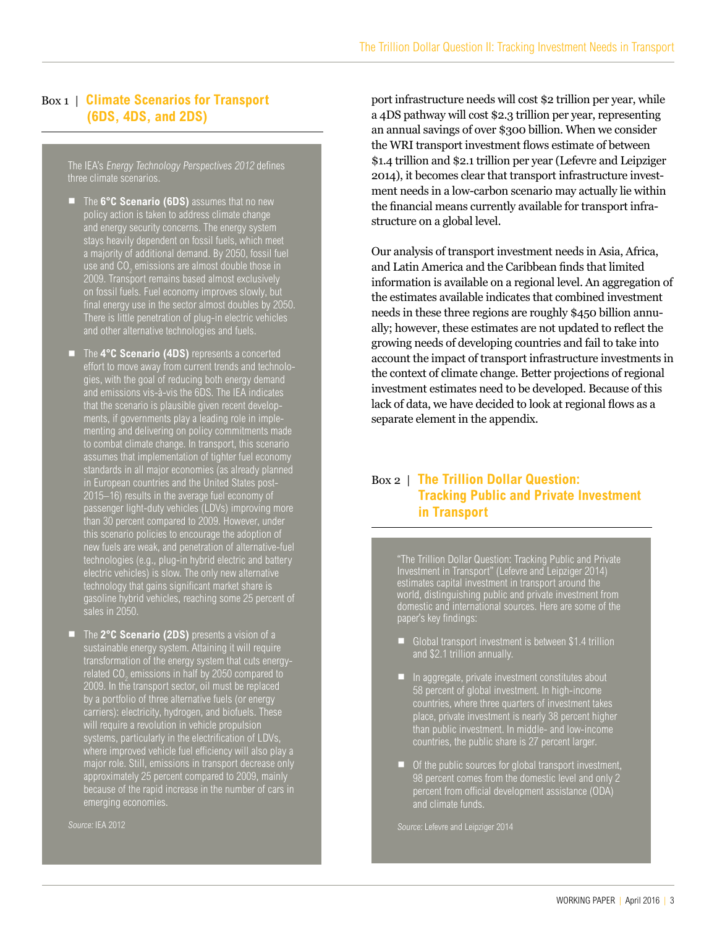#### Box 1 | **Climate Scenarios for Transport (6DS, 4DS, and 2DS)**

The IEA's Energy Technology Perspectives 2012 defines three climate scenarios.

- The **6°C Scenario (6DS)** assumes that no new policy action is taken to address climate change and energy security concerns. The energy system stays heavily dependent on fossil fuels, which meet a majority of additional demand. By 2050, fossil fuel use and CO $_{_2}$  emissions are almost double those in 2009. Transport remains based almost exclusively on fossil fuels. Fuel economy improves slowly, but final energy use in the sector almost doubles by 2050. There is little penetration of plug-in electric vehicles and other alternative technologies and fuels.
- The 4°C Scenario (4DS) represents a concerted effort to move away from current trends and technologies, with the goal of reducing both energy demand and emissions vis-à-vis the 6DS. The IEA indicates that the scenario is plausible given recent developments, if governments play a leading role in implementing and delivering on policy commitments made to combat climate change. In transport, this scenario assumes that implementation of tighter fuel economy standards in all major economies (as already planned in European countries and the United States post-2015–16) results in the average fuel economy of passenger light-duty vehicles (LDVs) improving more than 30 percent compared to 2009. However, under this scenario policies to encourage the adoption of new fuels are weak, and penetration of alternative-fuel technologies (e.g., plug-in hybrid electric and battery dectric vehicles) is slow. The only new alternative<br>electric vehicles) is slow. The only new alternative technology that gains significant market share is gasoline hybrid vehicles, reaching some 25 percent of
- The **2°C Scenario (2DS)** presents a vision of a<br>sustainable energy system. Attaining it will require transformation of the energy system that cuts energyrelated CO $_{\tiny 2}$  emissions in half by 2050 compared to 2009. In the transport sector, oil must be replaced by a portfolio of three alternative fuels (or energy carriers): electricity, hydrogen, and biofuels. These will require a revolution in vehicle propulsion systems, particularly in the electrification of LDVs, where improved vehicle fuel efficiency will also play a major role. Still, emissions in transport decrease only approximately 25 percent compared to 2009, mainly because of the rapid increase in the number of cars in emerging economies.

Source: IEA 2012

port infrastructure needs will cost \$2 trillion per year, while a 4DS pathway will cost \$2.3 trillion per year, representing an annual savings of over \$300 billion. When we consider the WRI transport investment flows estimate of between \$1.4 trillion and \$2.1 trillion per year (Lefevre and Leipziger 2014), it becomes clear that transport infrastructure investment needs in a low-carbon scenario may actually lie within the financial means currently available for transport infrastructure on a global level.

Our analysis of transport investment needs in Asia, Africa, and Latin America and the Caribbean finds that limited information is available on a regional level. An aggregation of the estimates available indicates that combined investment needs in these three regions are roughly \$450 billion annually; however, these estimates are not updated to reflect the growing needs of developing countries and fail to take into account the impact of transport infrastructure investments in the context of climate change. Better projections of regional investment estimates need to be developed. Because of this lack of data, we have decided to look at regional flows as a separate element in the appendix.

#### Box 2 | **The Trillion Dollar Question: Tracking Public and Private Investment in Transport**

"The Trillion Dollar Question: Tracking Public and Private Investment in Transport" (Lefevre and Leipziger 2014) estimates capital investment in transport around the world, distinguishing public and private investment from domestic and international sources. Here are some of the paper's key findings:

- Global transport investment is between \$1.4 trillion and \$2.1 trillion annually.
- **E** In aggregate, private investment constitutes about 58 percent of global investment. In high-income countries, where three quarters of investment takes place, private investment is nearly 38 percent higher than public investment. In middle- and low-income countries, the public share is 27 percent larger.
- Of the public sources for global transport investment, 98 percent comes from the domestic level and only 2 percent from official development assistance (ODA) and climate funds.

Source: Lefevre and Leipziger 2014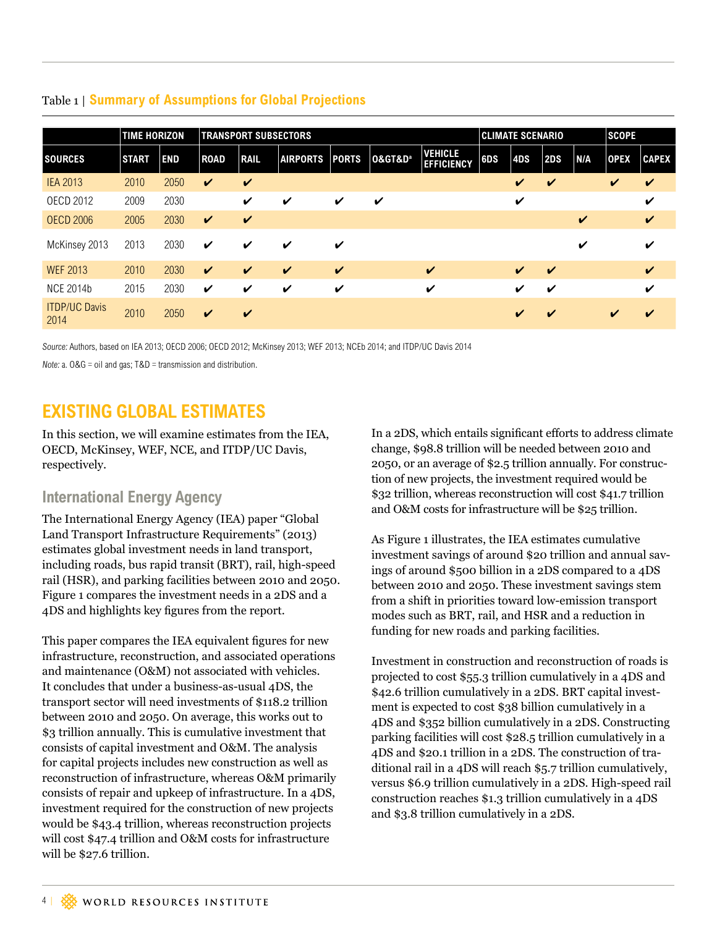|                              | <b>TIME HORIZON</b> |            |                    |                            | <b>TRANSPORT SUBSECTORS</b> |                    |                                 |                                     |     | <b>CLIMATE SCENARIO</b>    |                            |     | <b>SCOPE</b>               |              |  |
|------------------------------|---------------------|------------|--------------------|----------------------------|-----------------------------|--------------------|---------------------------------|-------------------------------------|-----|----------------------------|----------------------------|-----|----------------------------|--------------|--|
| <b>SOURCES</b>               | <b>START</b>        | <b>END</b> | <b>ROAD</b>        | <b>RAIL</b>                | <b>AIRPORTS</b>             | <b>PORTS</b>       | <b>O&gt;&amp;D</b> <sup>a</sup> | <b>VEHICLE</b><br><b>EFFICIENCY</b> | 6DS | 4DS                        | <b>2DS</b>                 | N/A | <b>OPEX</b>                | <b>CAPEX</b> |  |
| <b>IEA 2013</b>              | 2010                | 2050       | $\checkmark$       | $\checkmark$               |                             |                    |                                 |                                     |     | V                          | $\checkmark$               |     | $\boldsymbol{\mathcal{U}}$ | V            |  |
| <b>OECD 2012</b>             | 2009                | 2030       |                    | V                          | ✔                           | ✓                  | ✔                               |                                     |     | V                          |                            |     |                            | V            |  |
| <b>OECD 2006</b>             | 2005                | 2030       | $\boldsymbol{\nu}$ | $\boldsymbol{\mathcal{U}}$ |                             |                    |                                 |                                     |     |                            |                            | V   |                            | $\checkmark$ |  |
| McKinsey 2013                | 2013                | 2030       | $\boldsymbol{\nu}$ | V                          | ✔                           | ✓                  |                                 |                                     |     |                            |                            | V   |                            | V            |  |
| <b>WEF 2013</b>              | 2010                | 2030       | $\boldsymbol{\nu}$ | $\boldsymbol{\nu}$         | $\boldsymbol{\mathcal{U}}$  | $\boldsymbol{\nu}$ |                                 | $\checkmark$                        |     | $\boldsymbol{\nu}$         | $\boldsymbol{\mathcal{U}}$ |     |                            | V            |  |
| <b>NCE 2014b</b>             | 2015                | 2030       | $\boldsymbol{\nu}$ | V                          | ✔                           | V                  |                                 | V                                   |     | ✔                          | ✔                          |     |                            | V            |  |
| <b>ITDP/UC Davis</b><br>2014 | 2010                | 2050       | $\boldsymbol{\nu}$ | $\boldsymbol{\mathcal{U}}$ |                             |                    |                                 |                                     |     | $\boldsymbol{\mathcal{U}}$ | $\boldsymbol{\mathcal{U}}$ |     | V                          | V            |  |

#### <span id="page-3-0"></span>Table 1 | **Summary of Assumptions for Global Projections**

Source: Authors, based on IEA 2013; OECD 2006; OECD 2012; McKinsey 2013; WEF 2013; NCEb 2014; and ITDP/UC Davis 2014

Note: a.  $0&G =$  oil and gas;  $T&D =$  transmission and distribution.

## **EXISTING GLOBAL ESTIMATES**

In this section, we will examine estimates from the IEA, OECD, McKinsey, WEF, NCE, and ITDP/UC Davis, respectively.

### **International Energy Agency**

The International Energy Agency (IEA) paper "Global Land Transport Infrastructure Requirements" (2013) estimates global investment needs in land transport, including roads, bus rapid transit (BRT), rail, high-speed rail (HSR), and parking facilities between 2010 and 2050. Figure 1 compares the investment needs in a 2DS and a 4DS and highlights key figures from the report.

This paper compares the IEA equivalent figures for new infrastructure, reconstruction, and associated operations and maintenance (O&M) not associated with vehicles. It concludes that under a business-as-usual 4DS, the transport sector will need investments of \$118.2 trillion between 2010 and 2050. On average, this works out to \$3 trillion annually. This is cumulative investment that consists of capital investment and O&M. The analysis for capital projects includes new construction as well as reconstruction of infrastructure, whereas O&M primarily consists of repair and upkeep of infrastructure. In a 4DS, investment required for the construction of new projects would be \$43.4 trillion, whereas reconstruction projects will cost \$47.4 trillion and O&M costs for infrastructure will be \$27.6 trillion.

In a 2DS, which entails significant efforts to address climate change, \$98.8 trillion will be needed between 2010 and 2050, or an average of \$2.5 trillion annually. For construction of new projects, the investment required would be \$32 trillion, whereas reconstruction will cost \$41.7 trillion and O&M costs for infrastructure will be \$25 trillion.

As Figure 1 illustrates, the IEA estimates cumulative investment savings of around \$20 trillion and annual savings of around \$500 billion in a 2DS compared to a 4DS between 2010 and 2050. These investment savings stem from a shift in priorities toward low-emission transport modes such as BRT, rail, and HSR and a reduction in funding for new roads and parking facilities.

Investment in construction and reconstruction of roads is projected to cost \$55.3 trillion cumulatively in a 4DS and \$42.6 trillion cumulatively in a 2DS. BRT capital investment is expected to cost \$38 billion cumulatively in a 4DS and \$352 billion cumulatively in a 2DS. Constructing parking facilities will cost \$28.5 trillion cumulatively in a 4DS and \$20.1 trillion in a 2DS. The construction of traditional rail in a 4DS will reach \$5.7 trillion cumulatively, versus \$6.9 trillion cumulatively in a 2DS. High-speed rail construction reaches \$1.3 trillion cumulatively in a 4DS and \$3.8 trillion cumulatively in a 2DS.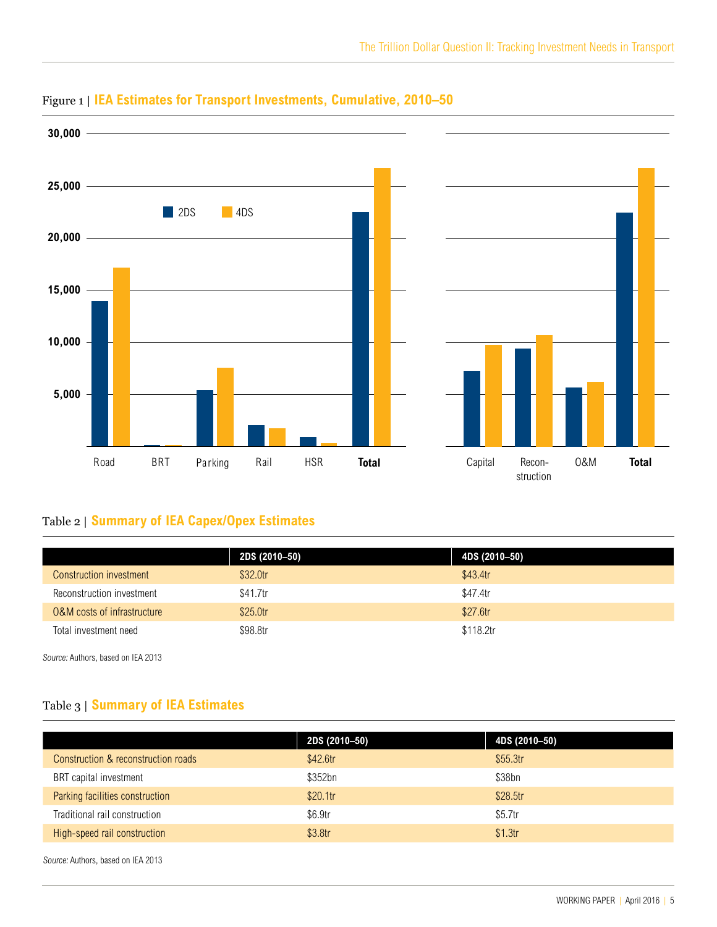

### Figure 1 | **IEA Estimates for Transport Investments, Cumulative, 2010–50**

## Table 2 | **Summary of IEA Capex/Opex Estimates**

|                             | 2DS (2010-50) | 4DS (2010–50) |
|-----------------------------|---------------|---------------|
| Construction investment     | \$32.0tr      | \$43.4tr      |
| Reconstruction investment   | \$41.7tr      | \$47.4tr      |
| 0&M costs of infrastructure | \$25.0tr      | \$27.6tr      |
| Total investment need       | \$98.8tr      | \$118.2tr     |

Source: Authors, based on IEA 2013

# Table 3 | **Summary of IEA Estimates**

|                                     | 2DS (2010-50) | 4DS (2010-50) |
|-------------------------------------|---------------|---------------|
| Construction & reconstruction roads | \$42.6tr      | \$55.3tr      |
| BRT capital investment              | \$352bn       | \$38bn        |
| Parking facilities construction     | \$20.1tr      | \$28.5tr      |
| Traditional rail construction       | \$6.9tr       | \$5.7tr       |
| High-speed rail construction        | \$3.8tr       | \$1.3tr       |

Source: Authors, based on IEA 2013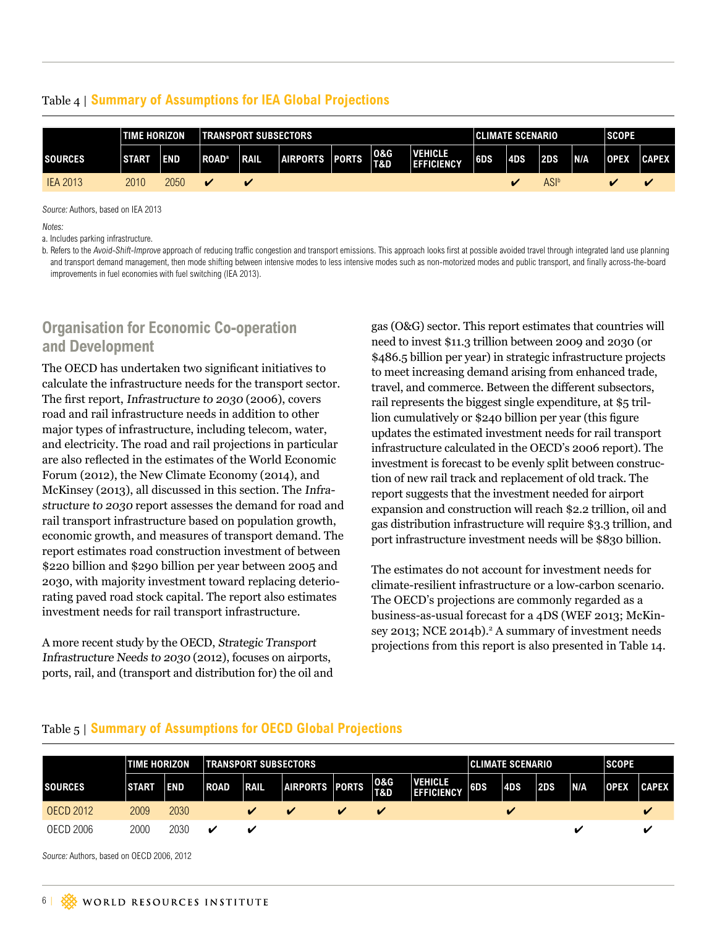#### Table 4 | **Summary of Assumptions for IEA Global Projections**

|                 | <b>TIME HORIZON</b><br><b>TRANSPORT SUBSECTORS</b> |            |                          |                         |                 |              |                                  | <b>CLIMATE SCENARIO</b>      |     |            | <b>SCOPE</b> |            |             |                         |
|-----------------|----------------------------------------------------|------------|--------------------------|-------------------------|-----------------|--------------|----------------------------------|------------------------------|-----|------------|--------------|------------|-------------|-------------------------|
| <b>SOURCES</b>  | <b>START</b>                                       | <b>END</b> | <b>ROAD</b> <sup>a</sup> | <b>IRAIL</b>            | <b>AIRPORTS</b> | <b>PORTS</b> | <b>0&amp;G</b><br><b>T&amp;D</b> | VEHICLE<br><b>EFFICIENCY</b> | 6DS | <b>4DS</b> | 2DS          | <b>N/A</b> | <b>OPEX</b> | <b>CAPEX</b>            |
| <b>IEA 2013</b> | 2010                                               | 2050       |                          | $\overline{\mathbf{v}}$ |                 |              |                                  |                              |     |            | ASIª         |            |             | $\overline{\mathbf{v}}$ |

Source: Authors, based on IEA 2013

Notes:

a. Includes parking infrastructure.

b. Refers to the Avoid-Shift-Improve approach of reducing traffic congestion and transport emissions. This approach looks first at possible avoided travel through integrated land use planning and transport demand management, then mode shifting between intensive modes to less intensive modes such as non-motorized modes and public transport, and finally across-the-board improvements in fuel economies with fuel switching (IEA 2013).

#### **Organisation for Economic Co-operation and Development**

The OECD has undertaken two significant initiatives to calculate the infrastructure needs for the transport sector. The first report, Infrastructure to 2030 (2006), covers road and rail infrastructure needs in addition to other major types of infrastructure, including telecom, water, and electricity. The road and rail projections in particular are also reflected in the estimates of the World Economic Forum (2012), the New Climate Economy (2014), and McKinsey (2013), all discussed in this section. The Infrastructure to 2030 report assesses the demand for road and rail transport infrastructure based on population growth, economic growth, and measures of transport demand. The report estimates road construction investment of between \$220 billion and \$290 billion per year between 2005 and 2030, with majority investment toward replacing deteriorating paved road stock capital. The report also estimates investment needs for rail transport infrastructure.

A more recent study by the OECD, Strategic Transport Infrastructure Needs to 2030 (2012), focuses on airports, ports, rail, and (transport and distribution for) the oil and

gas (O&G) sector. This report estimates that countries will need to invest \$11.3 trillion between 2009 and 2030 (or \$486.5 billion per year) in strategic infrastructure projects to meet increasing demand arising from enhanced trade, travel, and commerce. Between the different subsectors, rail represents the biggest single expenditure, at \$5 trillion cumulatively or \$240 billion per year (this figure updates the estimated investment needs for rail transport infrastructure calculated in the OECD's 2006 report). The investment is forecast to be evenly split between construction of new rail track and replacement of old track. The report suggests that the investment needed for airport expansion and construction will reach \$2.2 trillion, oil and gas distribution infrastructure will require \$3.3 trillion, and port infrastructure investment needs will be \$830 billion.

The estimates do not account for investment needs for climate-resilient infrastructure or a low-carbon scenario. The OECD's projections are commonly regarded as a business-as-usual forecast for a 4DS (WEF 2013; McKinsey 2013; NCE 2014b).<sup>2</sup> A summary of investment needs projections from this report is also presented in Table 14.

# Table 5 | **Summary of Assumptions for OECD Global Projections**

|                  | <b>TIME HORIZON</b> |            | <b>TRANSPORT SUBSECTORS</b> |              |                |   |                            | CLIMATE SCENARIO                    |            |     | <b>SCOPE</b> |     |             |              |
|------------------|---------------------|------------|-----------------------------|--------------|----------------|---|----------------------------|-------------------------------------|------------|-----|--------------|-----|-------------|--------------|
| <b>SOURCES</b>   | <b>START</b>        | <b>END</b> | <b>ROAD</b>                 | <b>IRAIL</b> | AIRPORTS PORTS |   | <b>O&amp;G</b><br>T&D      | <b>VEHICLE</b><br><b>EFFICIENCY</b> | <b>GDS</b> | 4DS | 2DS          | N/A | <b>OPEX</b> | <b>CAPEX</b> |
| <b>OECD 2012</b> | 2009                | 2030       |                             | V            |                | v | $\boldsymbol{\mathcal{U}}$ |                                     |            | v   |              |     |             |              |
| OECD 2006        | 2000                | 2030       | ✔                           | v            |                |   |                            |                                     |            |     |              |     |             |              |

Source: Authors, based on OECD 2006, 2012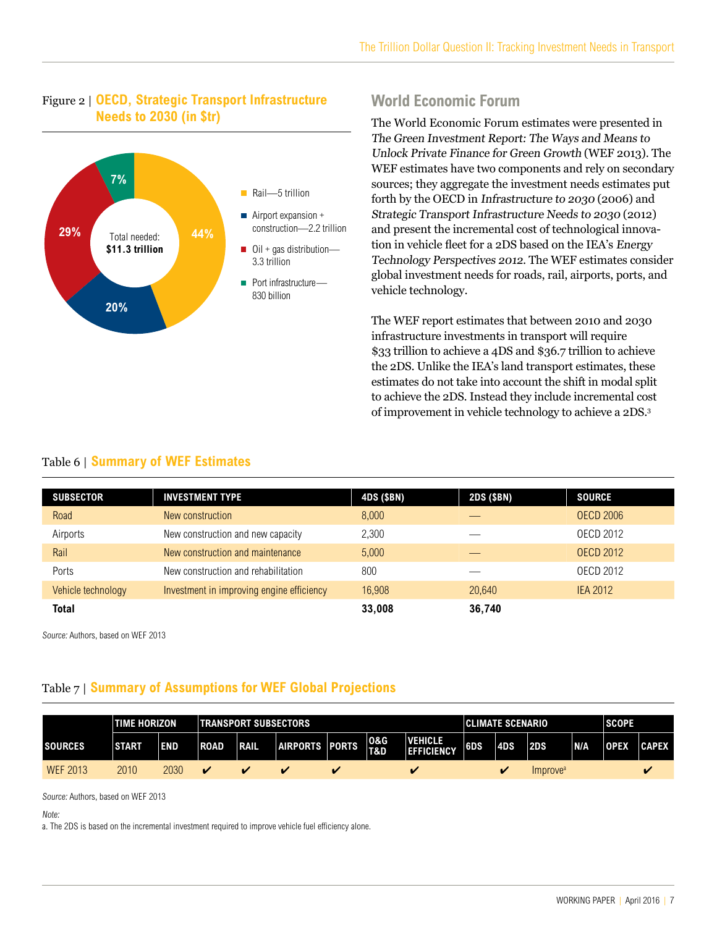#### Figure 2 | **OECD, Strategic Transport Infrastructure Needs to 2030 (in \$tr)**



### **World Economic Forum**

The World Economic Forum estimates were presented in The Green Investment Report: The Ways and Means to Unlock Private Finance for Green Growth (WEF 2013). The WEF estimates have two components and rely on secondary sources; they aggregate the investment needs estimates put forth by the OECD in Infrastructure to 2030 (2006) and Strategic Transport Infrastructure Needs to 2030 (2012) and present the incremental cost of technological innovation in vehicle fleet for a 2DS based on the IEA's Energy Technology Perspectives 2012. The WEF estimates consider global investment needs for roads, rail, airports, ports, and vehicle technology.

The WEF report estimates that between 2010 and 2030 infrastructure investments in transport will require \$33 trillion to achieve a 4DS and \$36.7 trillion to achieve the 2DS. Unlike the IEA's land transport estimates, these estimates do not take into account the shift in modal split to achieve the 2DS. Instead they include incremental cost of improvement in vehicle technology to achieve a 2DS.3

#### Table 6 | **Summary of WEF Estimates**

| <b>SUBSECTOR</b>   | <b>INVESTMENT TYPE</b>                    | 4DS (\$BN) | 2DS (\$BN) | <b>SOURCE</b>    |
|--------------------|-------------------------------------------|------------|------------|------------------|
| Road               | New construction                          | 8,000      |            | <b>OECD 2006</b> |
| Airports           | New construction and new capacity         | 2,300      |            | <b>OECD 2012</b> |
| Rail               | New construction and maintenance          | 5,000      |            | <b>OECD 2012</b> |
| Ports              | New construction and rehabilitation       | 800        |            | OECD 2012        |
| Vehicle technology | Investment in improving engine efficiency | 16,908     | 20,640     | <b>IEA 2012</b>  |
| <b>Total</b>       |                                           | 33,008     | 36,740     |                  |

Source: Authors, based on WEF 2013

#### Table 7 | **Summary of Assumptions for WEF Global Projections**

|                 | <b>TIME HORIZON</b> |            | <b>TRANSPORT SUBSECTORS</b> |             |                |                         |                       |                                     |     | <b>CLIMATE SCENARIO</b> |                      | <b>SCOPE</b> |             |              |
|-----------------|---------------------|------------|-----------------------------|-------------|----------------|-------------------------|-----------------------|-------------------------------------|-----|-------------------------|----------------------|--------------|-------------|--------------|
| <b>SOURCES</b>  | <b>START</b>        | <b>END</b> | <b>ROAD</b>                 | <b>RAIL</b> | AIRPORTS PORTS |                         | <b>0&amp;G</b><br>T&D | <b>VEHICLE</b><br><b>EFFICIENCY</b> | 6DS | 4DS                     | 2DS                  | <b>N/A</b>   | <b>OPEX</b> | <b>CAPEX</b> |
| <b>WEF 2013</b> | 2010                | 2030       |                             |             | ω              | $\overline{\mathbf{z}}$ |                       |                                     |     |                         | Improve <sup>a</sup> |              |             |              |

Source: Authors, based on WEF 2013

Note:

a. The 2DS is based on the incremental investment required to improve vehicle fuel efficiency alone.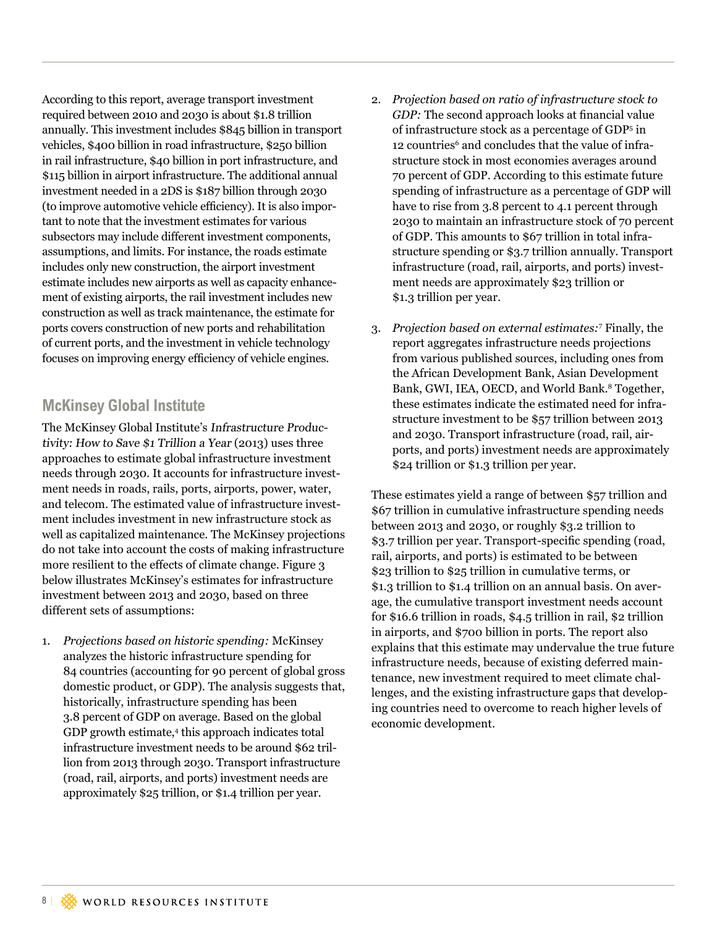According to this report, average transport investment required between 2010 and 2030 is about \$1.8 trillion annually. This investment includes \$845 billion in transport vehicles, \$400 billion in road infrastructure, \$250 billion in rail infrastructure, \$40 billion in port infrastructure, and \$115 billion in airport infrastructure. The additional annual investment needed in a 2DS is \$187 billion through 2030 (to improve automotive vehicle efficiency). It is also important to note that the investment estimates for various subsectors may include different investment components, assumptions, and limits. For instance, the roads estimate includes only new construction, the airport investment estimate includes new airports as well as capacity enhancement of existing airports, the rail investment includes new construction as well as track maintenance, the estimate for ports covers construction of new ports and rehabilitation of current ports, and the investment in vehicle technology focuses on improving energy efficiency of vehicle engines.

### **McKinsey Global Institute**

The McKinsey Global Institute's Infrastructure Productivity: How to Save \$1 Trillion a Year (2013) uses three approaches to estimate global infrastructure investment needs through 2030. It accounts for infrastructure investment needs in roads, rails, ports, airports, power, water, and telecom. The estimated value of infrastructure investment includes investment in new infrastructure stock as well as capitalized maintenance. The McKinsey projections do not take into account the costs of making infrastructure more resilient to the effects of climate change. Figure 3 below illustrates McKinsey's estimates for infrastructure investment between 2013 and 2030, based on three different sets of assumptions:

1. *Projections based on historic spending:* McKinsey analyzes the historic infrastructure spending for 84 countries (accounting for 90 percent of global gross domestic product, or GDP). The analysis suggests that, historically, infrastructure spending has been 3.8 percent of GDP on average. Based on the global GDP growth estimate,<sup>4</sup> this approach indicates total infrastructure investment needs to be around \$62 trillion from 2013 through 2030. Transport infrastructure (road, rail, airports, and ports) investment needs are approximately \$25 trillion, or \$1.4 trillion per year.

- 2. *Projection based on ratio of infrastructure stock to GDP:* The second approach looks at financial value of infrastructure stock as a percentage of GDP5 in 12 countries<sup>6</sup> and concludes that the value of infrastructure stock in most economies averages around 70 percent of GDP. According to this estimate future spending of infrastructure as a percentage of GDP will have to rise from 3.8 percent to 4.1 percent through 2030 to maintain an infrastructure stock of 70 percent of GDP. This amounts to \$67 trillion in total infrastructure spending or \$3.7 trillion annually. Transport infrastructure (road, rail, airports, and ports) investment needs are approximately \$23 trillion or \$1.3 trillion per year.
- 3. *Projection based on external estimates:*<sup>7</sup> Finally, the report aggregates infrastructure needs projections from various published sources, including ones from the African Development Bank, Asian Development Bank, GWI, IEA, OECD, and World Bank.<sup>8</sup> Together, these estimates indicate the estimated need for infrastructure investment to be \$57 trillion between 2013 and 2030. Transport infrastructure (road, rail, airports, and ports) investment needs are approximately \$24 trillion or \$1.3 trillion per year.

These estimates yield a range of between \$57 trillion and \$67 trillion in cumulative infrastructure spending needs between 2013 and 2030, or roughly \$3.2 trillion to \$3.7 trillion per year. Transport-specific spending (road, rail, airports, and ports) is estimated to be between \$23 trillion to \$25 trillion in cumulative terms, or \$1.3 trillion to \$1.4 trillion on an annual basis. On average, the cumulative transport investment needs account for \$16.6 trillion in roads, \$4.5 trillion in rail, \$2 trillion in airports, and \$700 billion in ports. The report also explains that this estimate may undervalue the true future infrastructure needs, because of existing deferred maintenance, new investment required to meet climate challenges, and the existing infrastructure gaps that developing countries need to overcome to reach higher levels of economic development.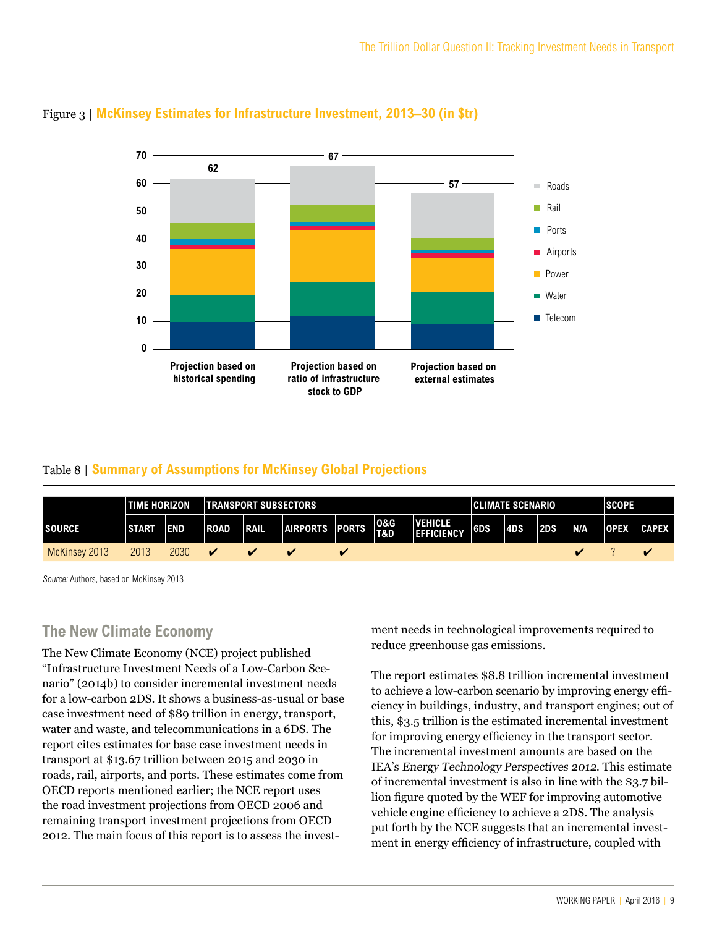

#### Figure 3 | **McKinsey Estimates for Infrastructure Investment, 2013–30 (in \$tr)**

#### Table 8 | **Summary of Assumptions for McKinsey Global Projections**

|               | <b>TIME HORIZON</b> |            |             | <b>TRANSPORT SUBSECTORS</b> |                       |  |                                  |                                     |     | <b>CLIMATE SCENARIO</b> |     | <b>SCOPE</b> |             |                 |
|---------------|---------------------|------------|-------------|-----------------------------|-----------------------|--|----------------------------------|-------------------------------------|-----|-------------------------|-----|--------------|-------------|-----------------|
| <b>SOURCE</b> | <b>START</b>        | <b>END</b> | <b>ROAD</b> | <b>TRAIL</b>                | <b>AIRPORTS PORTS</b> |  | <b>0&amp;G</b><br><b>T&amp;D</b> | <b>VEHICLE</b><br><b>EFFICIENCY</b> | 6DS | 4DS                     | 2DS | N/A          | <b>OPEX</b> | $ {\sf CAPEX} $ |
| McKinsey 2013 | 2013                | 2030       |             |                             |                       |  |                                  |                                     |     |                         |     |              |             |                 |

Source: Authors, based on McKinsey 2013

### **The New Climate Economy**

The New Climate Economy (NCE) project published "Infrastructure Investment Needs of a Low-Carbon Scenario" (2014b) to consider incremental investment needs for a low-carbon 2DS. It shows a business-as-usual or base case investment need of \$89 trillion in energy, transport, water and waste, and telecommunications in a 6DS. The report cites estimates for base case investment needs in transport at \$13.67 trillion between 2015 and 2030 in roads, rail, airports, and ports. These estimates come from OECD reports mentioned earlier; the NCE report uses the road investment projections from OECD 2006 and remaining transport investment projections from OECD 2012. The main focus of this report is to assess the investment needs in technological improvements required to reduce greenhouse gas emissions.

The report estimates \$8.8 trillion incremental investment to achieve a low-carbon scenario by improving energy efficiency in buildings, industry, and transport engines; out of this, \$3.5 trillion is the estimated incremental investment for improving energy efficiency in the transport sector. The incremental investment amounts are based on the IEA's Energy Technology Perspectives 2012. This estimate of incremental investment is also in line with the \$3.7 billion figure quoted by the WEF for improving automotive vehicle engine efficiency to achieve a 2DS. The analysis put forth by the NCE suggests that an incremental investment in energy efficiency of infrastructure, coupled with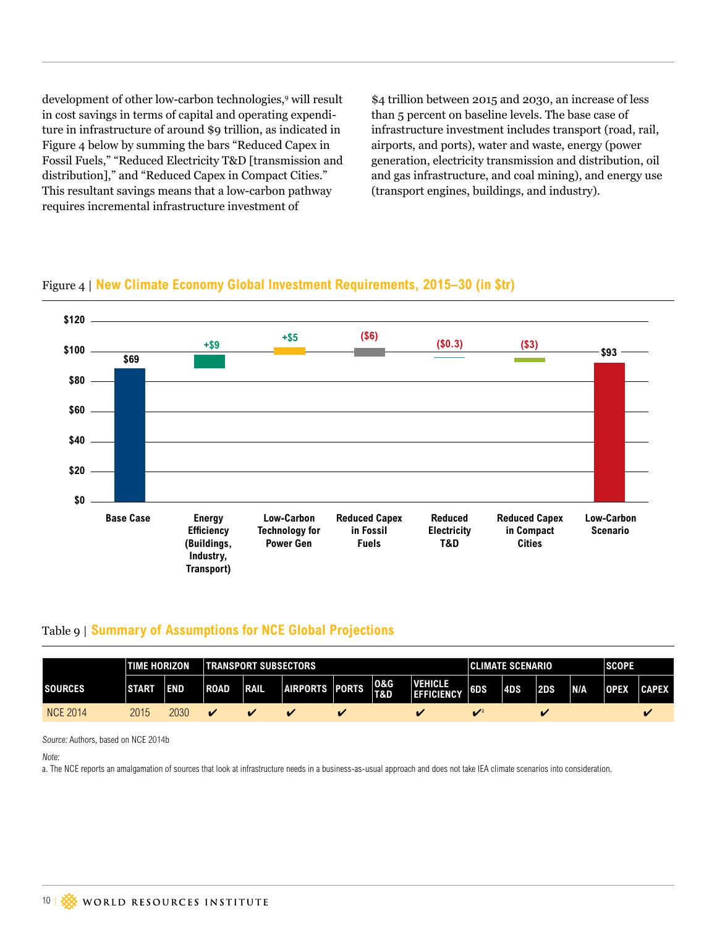development of other low-carbon technologies,9 will result in cost savings in terms of capital and operating expenditure in infrastructure of around \$9 trillion, as indicated in Figure 4 below by summing the bars "Reduced Capex in Fossil Fuels," "Reduced Electricity T&D [transmission and distribution]," and "Reduced Capex in Compact Cities." This resultant savings means that a low-carbon pathway requires incremental infrastructure investment of

\$4 trillion between 2015 and 2030, an increase of less than 5 percent on baseline levels. The base case of infrastructure investment includes transport (road, rail, airports, and ports), water and waste, energy (power generation, electricity transmission and distribution, oil and gas infrastructure, and coal mining), and energy use (transport engines, buildings, and industry).





#### Table 9 | **Summary of Assumptions for NCE Global Projections**

|                 | <b>TIME HORIZON</b> |      |             | <b>TRANSPORT SUBSECTORS</b> |                |                    |            |                                     |     |            | <b>CLIMATE SCENARIO</b> |            |             |              |  |  |
|-----------------|---------------------|------|-------------|-----------------------------|----------------|--------------------|------------|-------------------------------------|-----|------------|-------------------------|------------|-------------|--------------|--|--|
| <b>SOURCES</b>  | <b>START</b>        | END  | <b>ROAD</b> | <b>RAIL</b>                 | AIRPORTS PORTS |                    | 0&G<br>T&D | <b>VEHICLE</b><br><b>EFFICIENCY</b> | 6DS | <b>4DS</b> | 2DS                     | <b>N/A</b> | <b>OPEX</b> | <b>CAPEX</b> |  |  |
| <b>NCE 2014</b> | 2015                | 2030 |             |                             |                | $\boldsymbol{\nu}$ |            | v                                   |     |            | $\sim$                  |            |             |              |  |  |

Source: Authors, based on NCE 2014b

Note:

a. The NCE reports an amalgamation of sources that look at infrastructure needs in a business-as-usual approach and does not take IEA climate scenarios into consideration.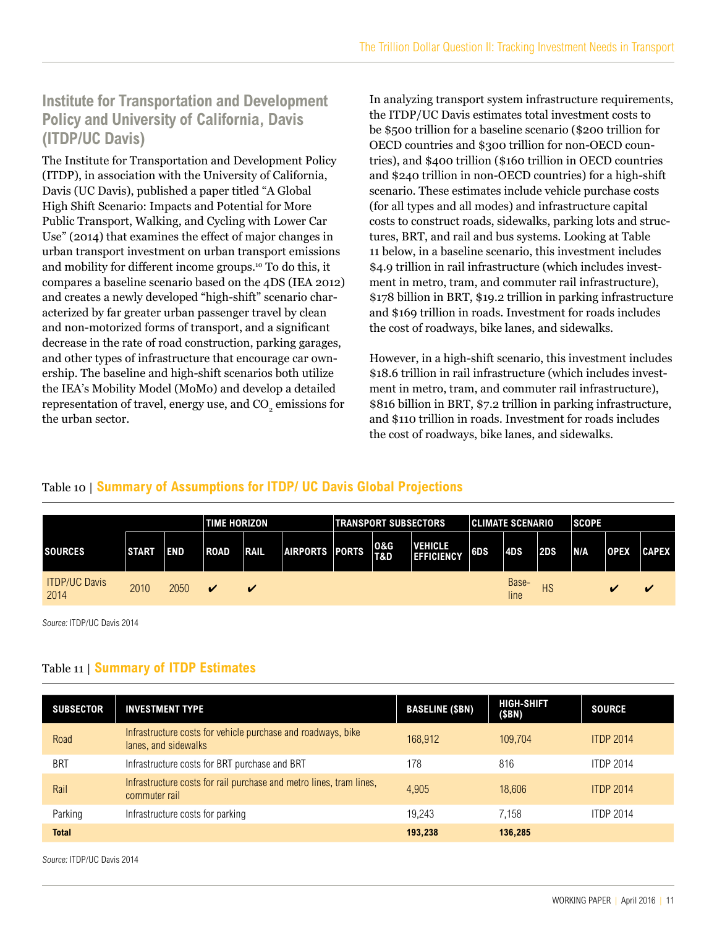# **Institute for Transportation and Development Policy and University of California, Davis (ITDP/UC Davis)**

The Institute for Transportation and Development Policy (ITDP), in association with the University of California, Davis (UC Davis), published a paper titled "A Global High Shift Scenario: Impacts and Potential for More Public Transport, Walking, and Cycling with Lower Car Use" (2014) that examines the effect of major changes in urban transport investment on urban transport emissions and mobility for different income groups.10 To do this, it compares a baseline scenario based on the 4DS (IEA 2012) and creates a newly developed "high-shift" scenario characterized by far greater urban passenger travel by clean and non-motorized forms of transport, and a significant decrease in the rate of road construction, parking garages, and other types of infrastructure that encourage car ownership. The baseline and high-shift scenarios both utilize the IEA's Mobility Model (MoMo) and develop a detailed representation of travel, energy use, and  $\mathrm{CO}_2$  emissions for the urban sector.

In analyzing transport system infrastructure requirements, the ITDP/UC Davis estimates total investment costs to be \$500 trillion for a baseline scenario (\$200 trillion for OECD countries and \$300 trillion for non-OECD countries), and \$400 trillion (\$160 trillion in OECD countries and \$240 trillion in non-OECD countries) for a high-shift scenario. These estimates include vehicle purchase costs (for all types and all modes) and infrastructure capital costs to construct roads, sidewalks, parking lots and structures, BRT, and rail and bus systems. Looking at Table 11 below, in a baseline scenario, this investment includes \$4.9 trillion in rail infrastructure (which includes investment in metro, tram, and commuter rail infrastructure), \$178 billion in BRT, \$19.2 trillion in parking infrastructure and \$169 trillion in roads. Investment for roads includes the cost of roadways, bike lanes, and sidewalks.

However, in a high-shift scenario, this investment includes \$18.6 trillion in rail infrastructure (which includes investment in metro, tram, and commuter rail infrastructure), \$816 billion in BRT, \$7.2 trillion in parking infrastructure, and \$110 trillion in roads. Investment for roads includes the cost of roadways, bike lanes, and sidewalks.

#### Table 10 | **Summary of Assumptions for ITDP/ UC Davis Global Projections**

|                              | <b>TIME HORIZON</b> |            |                         |                         |                | <b>TRANSPORT SUBSECTORS</b> |                                     | <b>CLIMATE SCENARIO</b> |               |     | <b>SCOPE</b> |             |                         |
|------------------------------|---------------------|------------|-------------------------|-------------------------|----------------|-----------------------------|-------------------------------------|-------------------------|---------------|-----|--------------|-------------|-------------------------|
| <b>ISOURCES</b>              | <b>START</b>        | <b>END</b> | <b>ROAD</b>             | <b>TRAIL</b>            | AIRPORTS PORTS | 10&G<br>T&D                 | <b>VEHICLE</b><br><b>EFFICIENCY</b> | 6DS                     | 4DS           | 2DS | <b>N/A</b>   | <b>OPEX</b> | <b>CAPEX</b>            |
| <b>ITDP/UC Davis</b><br>2014 | 2010                | 2050       | $\overline{\mathbf{v}}$ | $\overline{\mathbf{M}}$ |                |                             |                                     |                         | Base-<br>line | HS  |              |             | $\overline{\mathbf{v}}$ |

Source: ITDP/UC Davis 2014

#### Table 11 | **Summary of ITDP Estimates**

| <b>SUBSECTOR</b> | <b>INVESTMENT TYPE</b>                                                               | <b>BASELINE (\$BN)</b> | <b>HIGH-SHIFT</b><br>(\$BN) | <b>SOURCE</b>    |
|------------------|--------------------------------------------------------------------------------------|------------------------|-----------------------------|------------------|
| Road             | Infrastructure costs for vehicle purchase and roadways, bike<br>lanes, and sidewalks | 168.912                | 109.704                     | <b>ITDP 2014</b> |
| <b>BRT</b>       | Infrastructure costs for BRT purchase and BRT                                        | 178                    | 816                         | <b>ITDP 2014</b> |
| Rail             | Infrastructure costs for rail purchase and metro lines, tram lines,<br>commuter rail | 4.905                  | 18,606                      | <b>ITDP 2014</b> |
| Parking          | Infrastructure costs for parking                                                     | 19.243                 | 7.158                       | <b>ITDP 2014</b> |
| <b>Total</b>     |                                                                                      | 193,238                | 136,285                     |                  |

Source: ITDP/UC Davis 2014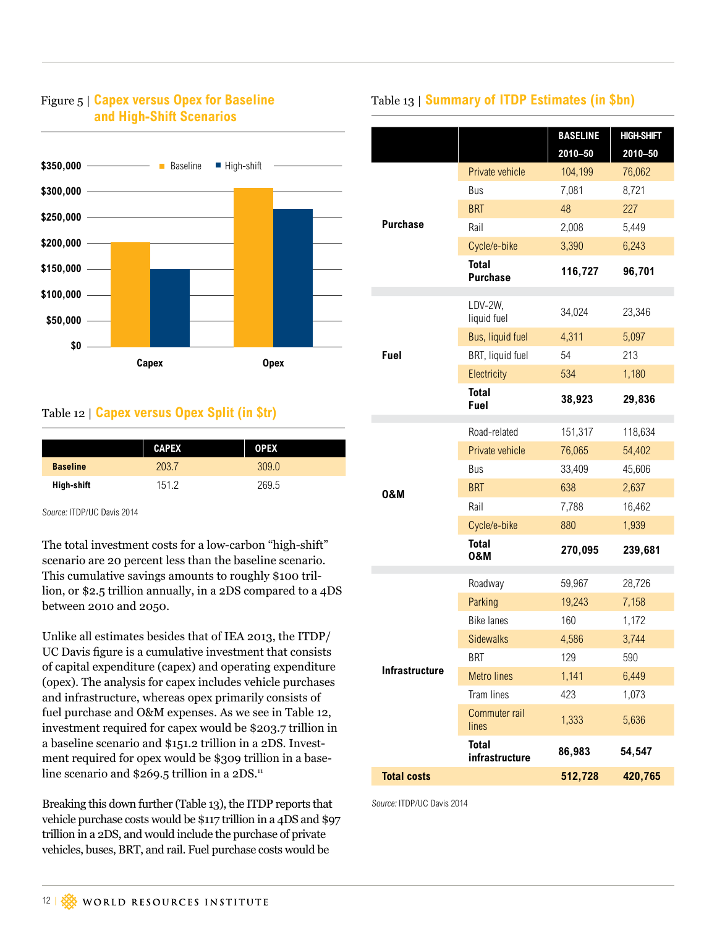

#### <span id="page-11-0"></span>Figure 5 | **Capex versus Opex for Baseline and High-Shift Scenarios**

#### Table 12 | **Capex versus Opex Split (in \$tr)**

|                 | <b>CAPEX</b> | <b>OPEX</b> |  |
|-----------------|--------------|-------------|--|
| <b>Baseline</b> | 203.7        | 309.0       |  |
| High-shift      | 1512         | 269.5       |  |

Source: ITDP/UC Davis 2014

The total investment costs for a low-carbon "high-shift" scenario are 20 percent less than the baseline scenario. This cumulative savings amounts to roughly \$100 trillion, or \$2.5 trillion annually, in a 2DS compared to a 4DS between 2010 and 2050.

Unlike all estimates besides that of IEA 2013, the ITDP/ UC Davis figure is a cumulative investment that consists of capital expenditure (capex) and operating expenditure (opex). The analysis for capex includes vehicle purchases and infrastructure, whereas opex primarily consists of fuel purchase and O&M expenses. As we see in Table 12, investment required for capex would be \$203.7 trillion in a baseline scenario and \$151.2 trillion in a 2DS. Investment required for opex would be \$309 trillion in a baseline scenario and \$269.5 trillion in a 2DS.<sup>11</sup>

Breaking this down further (Table 13), the ITDP reports that vehicle purchase costs would be \$117 trillion in a 4DS and \$97 trillion in a 2DS, and would include the purchase of private vehicles, buses, BRT, and rail. Fuel purchase costs would be

### Table 13 | **Summary of ITDP Estimates (in \$bn)**

|                       |                                | <b>BASELINE</b> | <b>HIGH-SHIFT</b> |  |
|-----------------------|--------------------------------|-----------------|-------------------|--|
|                       |                                | $2010 - 50$     | $2010 - 50$       |  |
|                       | Private vehicle                | 104,199         | 76,062            |  |
|                       | Bus                            | 7,081           | 8,721             |  |
|                       | <b>BRT</b>                     | 48              | 227               |  |
| <b>Purchase</b>       | Rail                           | 2,008           | 5,449             |  |
|                       | Cycle/e-bike                   | 3,390           | 6,243             |  |
|                       | Total<br><b>Purchase</b>       | 116,727         | 96,701            |  |
|                       | LDV-2W,<br>liquid fuel         | 34,024          | 23,346            |  |
|                       | Bus, liquid fuel               | 4,311           | 5,097             |  |
| Fuel                  | BRT, liquid fuel               | 54              | 213               |  |
|                       | Electricity                    | 534             | 1,180             |  |
|                       | <b>Total</b><br>Fuel           | 38,923          | 29,836            |  |
|                       | Road-related                   | 151,317         | 118,634           |  |
|                       | Private vehicle                | 76,065          | 54,402            |  |
|                       | Bus                            | 33,409          | 45,606            |  |
| 0&M                   | <b>BRT</b>                     | 638             | 2,637             |  |
|                       | Rail                           | 7,788           | 16,462            |  |
|                       | Cycle/e-bike                   | 880             | 1,939             |  |
|                       | <b>Total</b><br>0&M            | 270,095         | 239,681           |  |
|                       | Roadway                        | 59,967          | 28,726            |  |
|                       | Parking                        | 19,243          | 7,158             |  |
|                       | <b>Bike lanes</b>              | 160             | 1,172             |  |
|                       | <b>Sidewalks</b>               | 4,586           | 3,744             |  |
|                       | <b>BRT</b>                     | 129             | 590               |  |
| <b>Infrastructure</b> | <b>Metro lines</b>             | 1,141           | 6,449             |  |
|                       | <b>Tram lines</b>              | 423             | 1,073             |  |
|                       | Commuter rail<br>lines         | 1,333           | 5,636             |  |
|                       | <b>Total</b><br>infrastructure | 86,983          | 54,547            |  |
| <b>Total costs</b>    |                                | 512,728         | 420,765           |  |

Source: ITDP/UC Davis 2014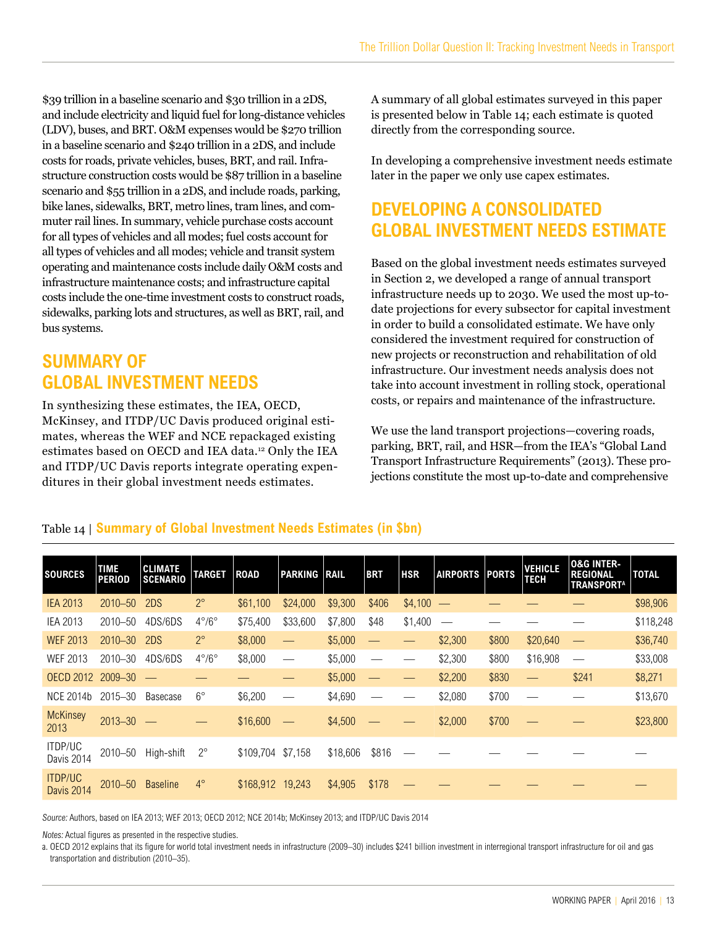\$39 trillion in a baseline scenario and \$30 trillion in a 2DS, and include electricity and liquid fuel for long-distance vehicles (LDV), buses, and BRT. O&M expenses would be \$270 trillion in a baseline scenario and \$240 trillion in a 2DS, and include costs for roads, private vehicles, buses, BRT, and rail. Infrastructure construction costs would be \$87 trillion in a baseline scenario and \$55 trillion in a 2DS, and include roads, parking, bike lanes, sidewalks, BRT, metro lines, tram lines, and commuter rail lines. In summary, vehicle purchase costs account for all types of vehicles and all modes; fuel costs account for all types of vehicles and all modes; vehicle and transit system operating and maintenance costs include daily O&M costs and infrastructure maintenance costs; and infrastructure capital costs include the one-time investment costs to construct roads, sidewalks, parking lots and structures, as well as BRT, rail, and bus systems.

# **SUMMARY OF GLOBAL INVESTMENT NEEDS**

In synthesizing these estimates, the IEA, OECD, McKinsey, and ITDP/UC Davis produced original estimates, whereas the WEF and NCE repackaged existing estimates based on OECD and IEA data.12 Only the IEA and ITDP/UC Davis reports integrate operating expenditures in their global investment needs estimates.

A summary of all global estimates surveyed in this paper is presented below in Table 14; each estimate is quoted directly from the corresponding source.

In developing a comprehensive investment needs estimate later in the paper we only use capex estimates.

# **DEVELOPING A CONSOLIDATED GLOBAL INVESTMENT NEEDS ESTIMATE**

Based on the global investment needs estimates surveyed in Section 2, we developed a range of annual transport infrastructure needs up to 2030. We used the most up-todate projections for every subsector for capital investment in order to build a consolidated estimate. We have only considered the investment required for construction of new projects or reconstruction and rehabilitation of old infrastructure. Our investment needs analysis does not take into account investment in rolling stock, operational costs, or repairs and maintenance of the infrastructure.

We use the land transport projections—covering roads, parking, BRT, rail, and HSR—from the IEA's "Global Land Transport Infrastructure Requirements" (2013). These projections constitute the most up-to-date and comprehensive

| <b>SOURCES</b>                      | <b>TIME</b><br><b>PERIOD</b> | <b>CLIMATE</b><br><b>SCENARIO</b> | <b>TARGET</b>         | <b>ROAD</b> | <b>PARKING RAIL</b> |          | <b>BRT</b> | <b>HSR</b> | <b>AIRPORTS</b>          | <b>PORTS</b> | <b>VEHICLE</b><br><b>TECH</b> | <b>0&amp;G INTER-</b><br><b>REGIONAL</b><br><b>TRANSPORTA</b> | <b>TOTAL</b> |
|-------------------------------------|------------------------------|-----------------------------------|-----------------------|-------------|---------------------|----------|------------|------------|--------------------------|--------------|-------------------------------|---------------------------------------------------------------|--------------|
| <b>IEA 2013</b>                     | $2010 - 50$                  | 2DS                               | $2^{\circ}$           | \$61,100    | \$24,000            | \$9,300  | \$406      | \$4,100    | $\overline{\phantom{m}}$ |              |                               |                                                               | \$98,906     |
| <b>IEA 2013</b>                     | 2010-50                      | 4DS/6DS                           | $4^{\circ}/6^{\circ}$ | \$75,400    | \$33,600            | \$7,800  | \$48       | \$1,400    | $\hspace{0.05cm}$        |              |                               |                                                               | \$118,248    |
| <b>WEF 2013</b>                     | $2010 - 30$                  | 2DS                               | $2^{\circ}$           | \$8,000     |                     | \$5,000  |            |            | \$2,300                  | \$800        | \$20,640                      |                                                               | \$36,740     |
| WEF 2013                            | 2010-30                      | 4DS/6DS                           | $4^{\circ}/6^{\circ}$ | \$8,000     |                     | \$5,000  |            |            | \$2,300                  | \$800        | \$16,908                      |                                                               | \$33,008     |
| <b>OECD 2012</b>                    | $2009 - 30$                  | للمستدرج                          |                       |             |                     | \$5,000  |            |            | \$2,200                  | \$830        |                               | \$241                                                         | \$8,271      |
| NCE 2014b                           | $2015 - 30$                  | Basecase                          | $6^{\circ}$           | \$6,200     |                     | \$4,690  |            |            | \$2,080                  | \$700        |                               |                                                               | \$13,670     |
| <b>McKinsey</b><br>2013             | $2013 - 30$                  |                                   |                       | \$16,600    |                     | \$4,500  |            |            | \$2,000                  | \$700        |                               |                                                               | \$23,800     |
| ITDP/UC<br>Davis 2014               | 2010-50                      | High-shift                        | $2^{\circ}$           | \$109,704   | \$7,158             | \$18,606 | \$816      |            |                          |              |                               |                                                               |              |
| <b>ITDP/UC</b><br><b>Davis 2014</b> | $2010 - 50$                  | <b>Baseline</b>                   | $4^\circ$             | \$168,912   | 19.243              | \$4,905  | \$178      |            |                          |              |                               |                                                               |              |

#### Table 14 | **Summary of Global Investment Needs Estimates (in \$bn)**

Source: Authors, based on IEA 2013; WEF 2013; OECD 2012; NCE 2014b; McKinsey 2013; and ITDP/UC Davis 2014

Notes: Actual figures as presented in the respective studies.

a. OECD 2012 explains that its figure for world total investment needs in infrastructure (2009–30) includes \$241 billion investment in interregional transport infrastructure for oil and gas transportation and distribution (2010–35).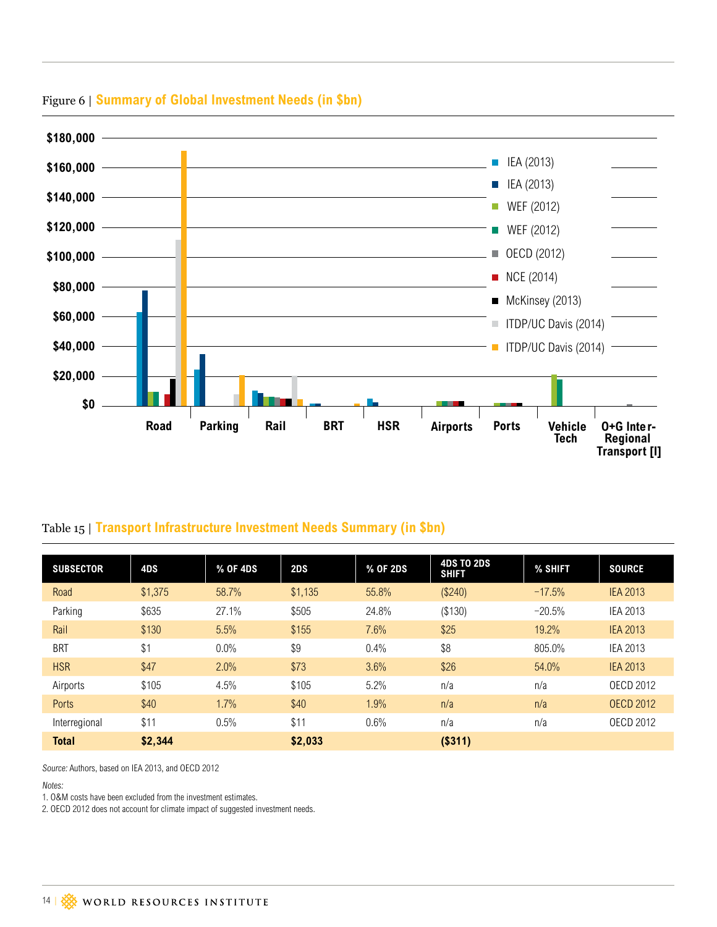

### Figure 6 | **Summary of Global Investment Needs (in \$bn)**

### Table 15 | **Transport Infrastructure Investment Needs Summary (in \$bn)**

| <b>SUBSECTOR</b> | 4DS     | % OF 4DS | 2DS     | % OF 2DS | <b>4DS TO 2DS</b><br><b>SHIFT</b> | % SHIFT  | <b>SOURCE</b>    |
|------------------|---------|----------|---------|----------|-----------------------------------|----------|------------------|
| Road             | \$1,375 | 58.7%    | \$1,135 | 55.8%    | (\$240)                           | $-17.5%$ | <b>IEA 2013</b>  |
| Parking          | \$635   | 27.1%    | \$505   | 24.8%    | (\$130)                           | $-20.5%$ | <b>IEA 2013</b>  |
| Rail             | \$130   | 5.5%     | \$155   | 7.6%     | \$25                              | 19.2%    | <b>IEA 2013</b>  |
| <b>BRT</b>       | \$1     | 0.0%     | \$9     | 0.4%     | \$8                               | 805.0%   | <b>IEA 2013</b>  |
| <b>HSR</b>       | \$47    | 2.0%     | \$73    | 3.6%     | \$26                              | 54.0%    | <b>IEA 2013</b>  |
| Airports         | \$105   | 4.5%     | \$105   | 5.2%     | n/a                               | n/a      | <b>OECD 2012</b> |
| <b>Ports</b>     | \$40    | 1.7%     | \$40    | 1.9%     | n/a                               | n/a      | <b>OECD 2012</b> |
| Interregional    | \$11    | 0.5%     | \$11    | 0.6%     | n/a                               | n/a      | <b>OECD 2012</b> |
| <b>Total</b>     | \$2,344 |          | \$2,033 |          | ( \$311)                          |          |                  |

Source: Authors, based on IEA 2013, and OECD 2012

Notes:

1. O&M costs have been excluded from the investment estimates.

2. OECD 2012 does not account for climate impact of suggested investment needs.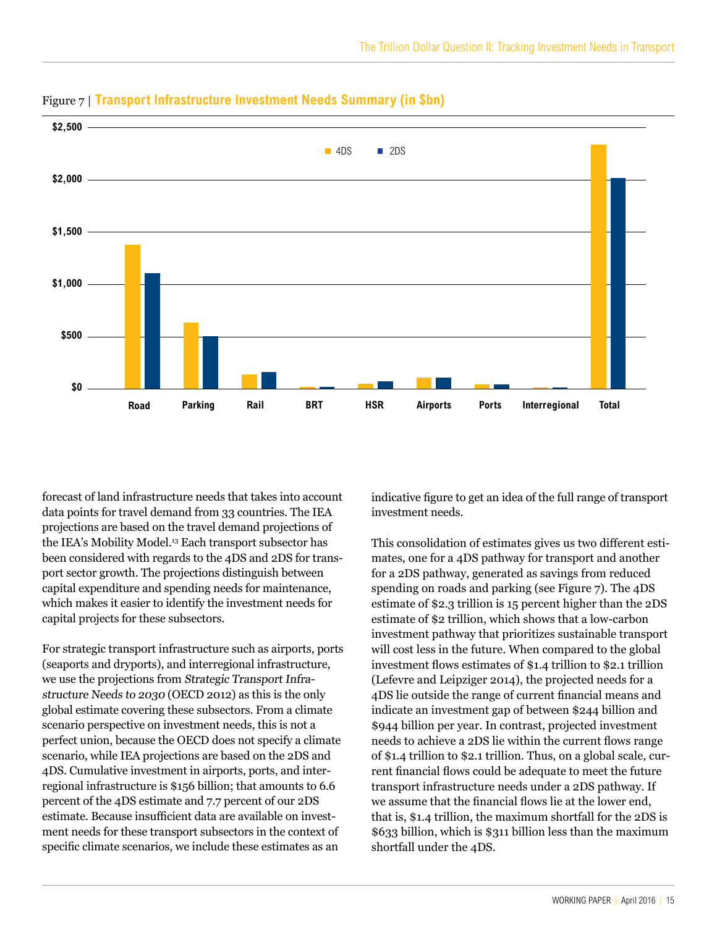

#### Figure 7 | **Transport Infrastructure Investment Needs Summary (in \$bn)**

forecast of land infrastructure needs that takes into account data points for travel demand from 33 countries. The IEA projections are based on the travel demand projections of the IEA's Mobility Model.<sup>13</sup> Each transport subsector has been considered with regards to the 4DS and 2DS for transport sector growth. The projections distinguish between capital expenditure and spending needs for maintenance, which makes it easier to identify the investment needs for capital projects for these subsectors.

For strategic transport infrastructure such as airports, ports (seaports and dryports), and interregional infrastructure, we use the projections from Strategic Transport Infrastructure Needs to 2030 (OECD 2012) as this is the only global estimate covering these subsectors. From a climate scenario perspective on investment needs, this is not a perfect union, because the OECD does not specify a climate scenario, while IEA projections are based on the 2DS and 4DS. Cumulative investment in airports, ports, and interregional infrastructure is \$156 billion; that amounts to 6.6 percent of the 4DS estimate and 7.7 percent of our 2DS estimate. Because insufficient data are available on investment needs for these transport subsectors in the context of specific climate scenarios, we include these estimates as an

indicative figure to get an idea of the full range of transport investment needs.

This consolidation of estimates gives us two different estimates, one for a 4DS pathway for transport and another for a 2DS pathway, generated as savings from reduced spending on roads and parking (see Figure 7). The 4DS estimate of \$2.3 trillion is 15 percent higher than the 2DS estimate of \$2 trillion, which shows that a low-carbon investment pathway that prioritizes sustainable transport will cost less in the future. When compared to the global investment flows estimates of \$1.4 trillion to \$2.1 trillion (Lefevre and Leipziger 2014), the projected needs for a 4DS lie outside the range of current financial means and indicate an investment gap of between \$244 billion and \$944 billion per year. In contrast, projected investment needs to achieve a 2DS lie within the current flows range of \$1.4 trillion to \$2.1 trillion. Thus, on a global scale, current financial flows could be adequate to meet the future transport infrastructure needs under a 2DS pathway. If we assume that the financial flows lie at the lower end, that is, \$1.4 trillion, the maximum shortfall for the 2DS is \$633 billion, which is \$311 billion less than the maximum shortfall under the 4DS.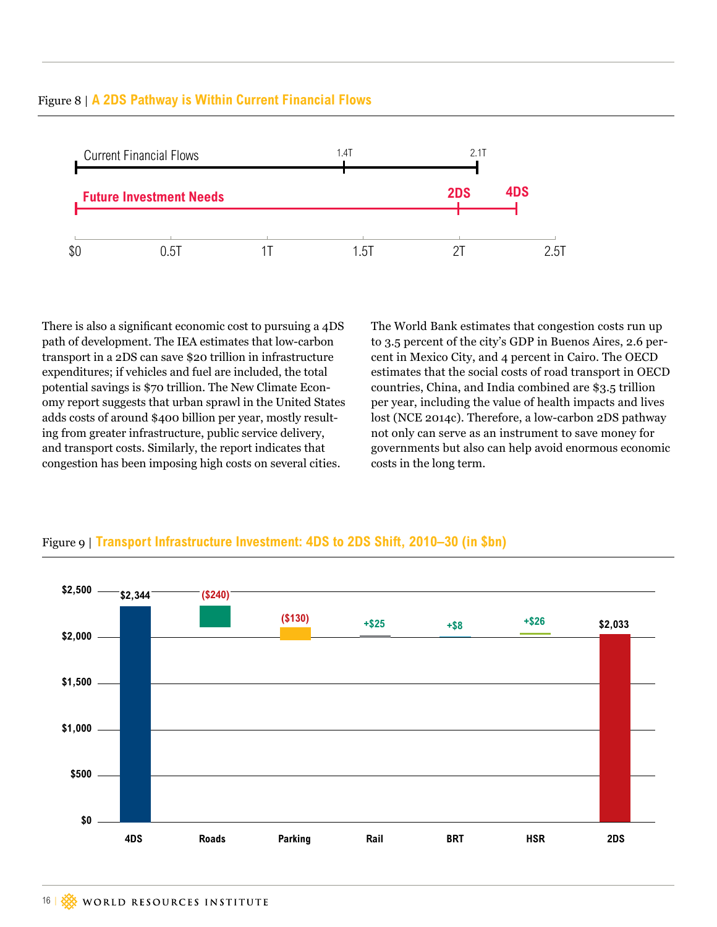

There is also a significant economic cost to pursuing a 4DS path of development. The IEA estimates that low-carbon transport in a 2DS can save \$20 trillion in infrastructure expenditures; if vehicles and fuel are included, the total potential savings is \$70 trillion. The New Climate Economy report suggests that urban sprawl in the United States adds costs of around \$400 billion per year, mostly resulting from greater infrastructure, public service delivery, and transport costs. Similarly, the report indicates that congestion has been imposing high costs on several cities.

The World Bank estimates that congestion costs run up to 3.5 percent of the city's GDP in Buenos Aires, 2.6 percent in Mexico City, and 4 percent in Cairo. The OECD estimates that the social costs of road transport in OECD countries, China, and India combined are \$3.5 trillion per year, including the value of health impacts and lives lost (NCE 2014c). Therefore, a low-carbon 2DS pathway not only can serve as an instrument to save money for governments but also can help avoid enormous economic costs in the long term.



#### Figure 9 | **Transport Infrastructure Investment: 4DS to 2DS Shift, 2010–30 (in \$bn)**

# <span id="page-15-0"></span>Figure 8 | **A 2DS Pathway is Within Current Financial Flows**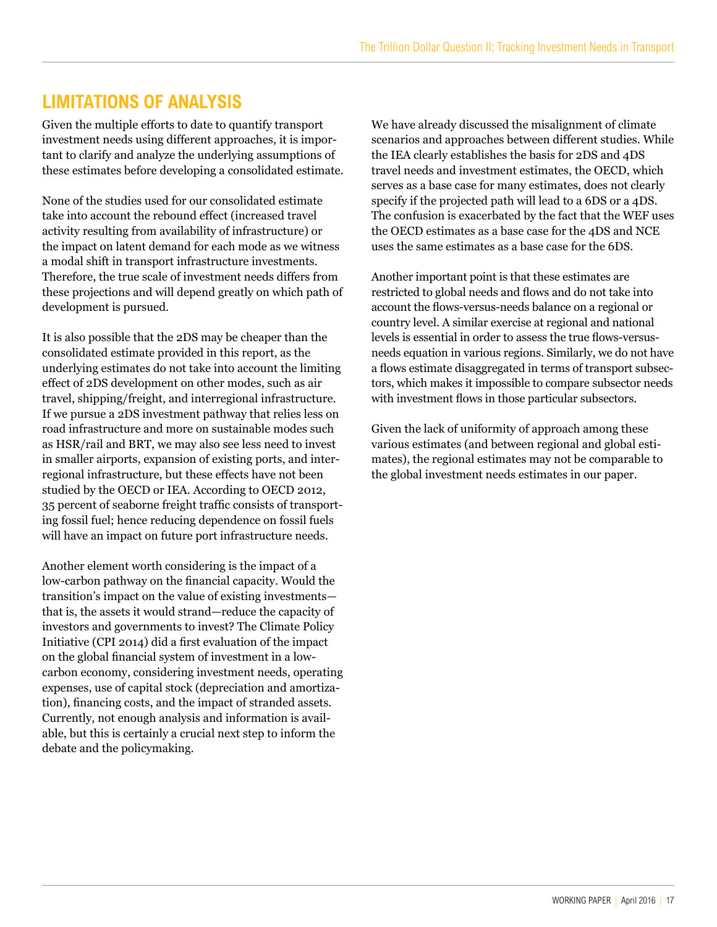# <span id="page-16-0"></span>**LIMITATIONS OF ANALYSIS**

Given the multiple efforts to date to quantify transport investment needs using different approaches, it is important to clarify and analyze the underlying assumptions of these estimates before developing a consolidated estimate.

None of the studies used for our consolidated estimate take into account the rebound effect (increased travel activity resulting from availability of infrastructure) or the impact on latent demand for each mode as we witness a modal shift in transport infrastructure investments. Therefore, the true scale of investment needs differs from these projections and will depend greatly on which path of development is pursued.

It is also possible that the 2DS may be cheaper than the consolidated estimate provided in this report, as the underlying estimates do not take into account the limiting effect of 2DS development on other modes, such as air travel, shipping/freight, and interregional infrastructure. If we pursue a 2DS investment pathway that relies less on road infrastructure and more on sustainable modes such as HSR/rail and BRT, we may also see less need to invest in smaller airports, expansion of existing ports, and interregional infrastructure, but these effects have not been studied by the OECD or IEA. According to OECD 2012, 35 percent of seaborne freight traffic consists of transporting fossil fuel; hence reducing dependence on fossil fuels will have an impact on future port infrastructure needs.

Another element worth considering is the impact of a low-carbon pathway on the financial capacity. Would the transition's impact on the value of existing investments that is, the assets it would strand—reduce the capacity of investors and governments to invest? The Climate Policy Initiative (CPI 2014) did a first evaluation of the impact on the global financial system of investment in a lowcarbon economy, considering investment needs, operating expenses, use of capital stock (depreciation and amortization), financing costs, and the impact of stranded assets. Currently, not enough analysis and information is available, but this is certainly a crucial next step to inform the debate and the policymaking.

We have already discussed the misalignment of climate scenarios and approaches between different studies. While the IEA clearly establishes the basis for 2DS and 4DS travel needs and investment estimates, the OECD, which serves as a base case for many estimates, does not clearly specify if the projected path will lead to a 6DS or a 4DS. The confusion is exacerbated by the fact that the WEF uses the OECD estimates as a base case for the 4DS and NCE uses the same estimates as a base case for the 6DS.

Another important point is that these estimates are restricted to global needs and flows and do not take into account the flows-versus-needs balance on a regional or country level. A similar exercise at regional and national levels is essential in order to assess the true flows-versusneeds equation in various regions. Similarly, we do not have a flows estimate disaggregated in terms of transport subsectors, which makes it impossible to compare subsector needs with investment flows in those particular subsectors.

Given the lack of uniformity of approach among these various estimates (and between regional and global estimates), the regional estimates may not be comparable to the global investment needs estimates in our paper.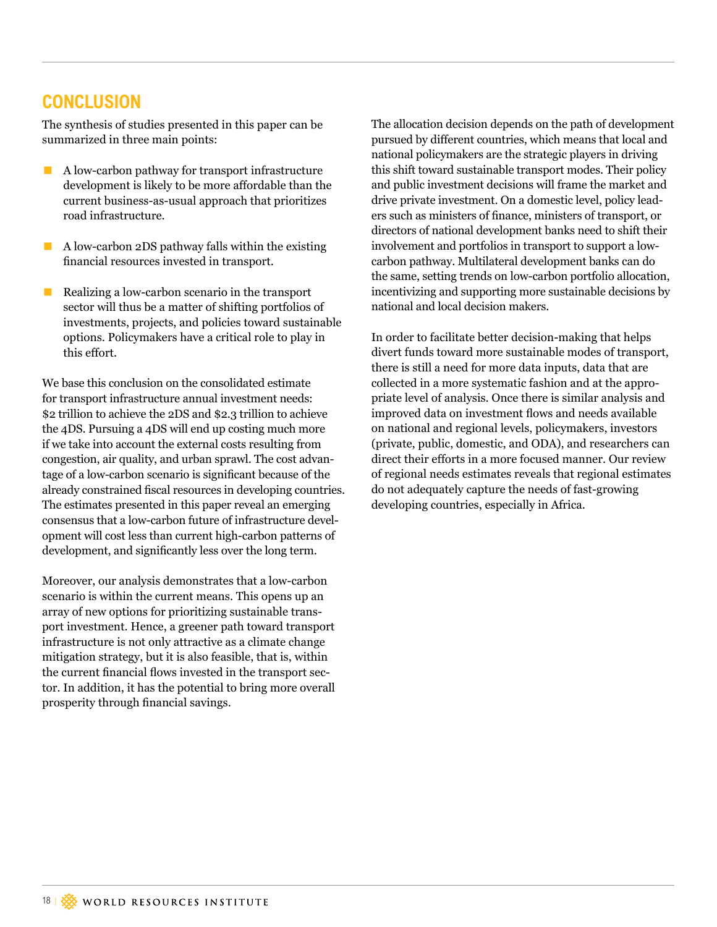# **CONCLUSION**

The synthesis of studies presented in this paper can be summarized in three main points:

- $\blacksquare$  A low-carbon pathway for transport infrastructure development is likely to be more affordable than the current business-as-usual approach that prioritizes road infrastructure.
- $\blacksquare$  A low-carbon 2DS pathway falls within the existing financial resources invested in transport.
- Realizing a low-carbon scenario in the transport sector will thus be a matter of shifting portfolios of investments, projects, and policies toward sustainable options. Policymakers have a critical role to play in this effort.

We base this conclusion on the consolidated estimate for transport infrastructure annual investment needs: \$2 trillion to achieve the 2DS and \$2.3 trillion to achieve the 4DS. Pursuing a 4DS will end up costing much more if we take into account the external costs resulting from congestion, air quality, and urban sprawl. The cost advantage of a low-carbon scenario is significant because of the already constrained fiscal resources in developing countries. The estimates presented in this paper reveal an emerging consensus that a low-carbon future of infrastructure development will cost less than current high-carbon patterns of development, and significantly less over the long term.

Moreover, our analysis demonstrates that a low-carbon scenario is within the current means. This opens up an array of new options for prioritizing sustainable transport investment. Hence, a greener path toward transport infrastructure is not only attractive as a climate change mitigation strategy, but it is also feasible, that is, within the current financial flows invested in the transport sector. In addition, it has the potential to bring more overall prosperity through financial savings.

The allocation decision depends on the path of development pursued by different countries, which means that local and national policymakers are the strategic players in driving this shift toward sustainable transport modes. Their policy and public investment decisions will frame the market and drive private investment. On a domestic level, policy leaders such as ministers of finance, ministers of transport, or directors of national development banks need to shift their involvement and portfolios in transport to support a lowcarbon pathway. Multilateral development banks can do the same, setting trends on low-carbon portfolio allocation, incentivizing and supporting more sustainable decisions by national and local decision makers.

In order to facilitate better decision-making that helps divert funds toward more sustainable modes of transport, there is still a need for more data inputs, data that are collected in a more systematic fashion and at the appropriate level of analysis. Once there is similar analysis and improved data on investment flows and needs available on national and regional levels, policymakers, investors (private, public, domestic, and ODA), and researchers can direct their efforts in a more focused manner. Our review of regional needs estimates reveals that regional estimates do not adequately capture the needs of fast-growing developing countries, especially in Africa.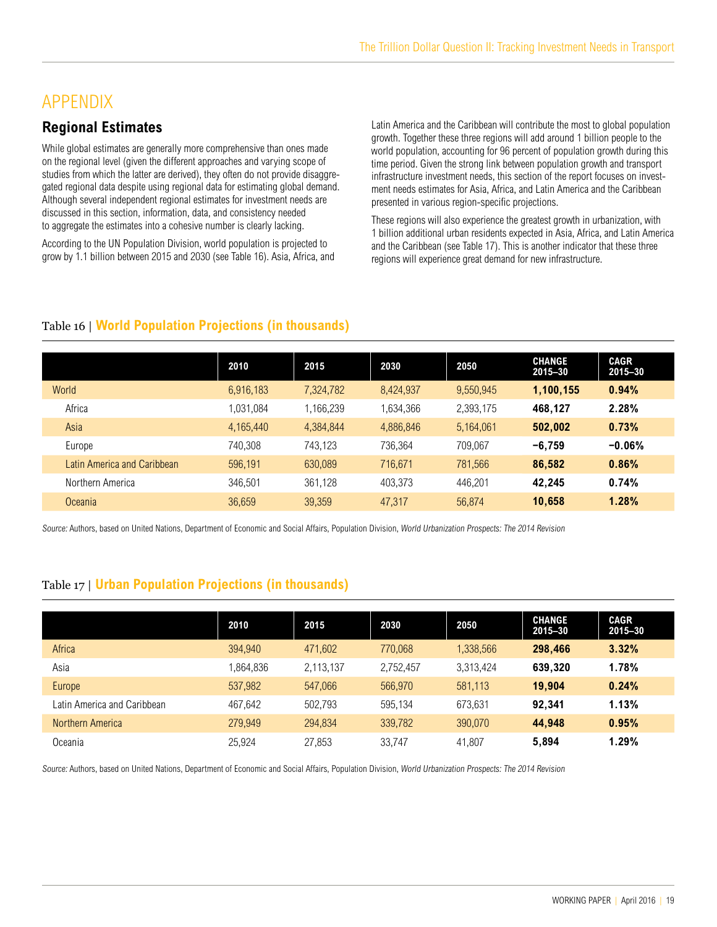# APPENDIX

### **Regional Estimates**

While global estimates are generally more comprehensive than ones made on the regional level (given the different approaches and varying scope of studies from which the latter are derived), they often do not provide disaggregated regional data despite using regional data for estimating global demand. Although several independent regional estimates for investment needs are discussed in this section, information, data, and consistency needed to aggregate the estimates into a cohesive number is clearly lacking.

According to the UN Population Division, world population is projected to grow by 1.1 billion between 2015 and 2030 (see Table 16). Asia, Africa, and

Latin America and the Caribbean will contribute the most to global population growth. Together these three regions will add around 1 billion people to the world population, accounting for 96 percent of population growth during this time period. Given the strong link between population growth and transport infrastructure investment needs, this section of the report focuses on investment needs estimates for Asia, Africa, and Latin America and the Caribbean presented in various region-specific projections.

These regions will also experience the greatest growth in urbanization, with 1 billion additional urban residents expected in Asia, Africa, and Latin America and the Caribbean (see Table 17). This is another indicator that these three regions will experience great demand for new infrastructure.

#### Table 16 | **World Population Projections (in thousands)**

|                             | 2010      | 2015      | 2030      | 2050      | <b>CHANGE</b><br>2015-30 | <b>CAGR</b><br>2015-30 |
|-----------------------------|-----------|-----------|-----------|-----------|--------------------------|------------------------|
| World                       | 6,916,183 | 7,324,782 | 8,424,937 | 9,550,945 | 1,100,155                | 0.94%                  |
| Africa                      | 1,031,084 | 1,166,239 | 1,634,366 | 2,393,175 | 468,127                  | 2.28%                  |
| Asia                        | 4,165,440 | 4,384,844 | 4,886,846 | 5,164,061 | 502,002                  | 0.73%                  |
| Europe                      | 740.308   | 743.123   | 736.364   | 709.067   | $-6.759$                 | $-0.06\%$              |
| Latin America and Caribbean | 596,191   | 630,089   | 716,671   | 781.566   | 86,582                   | 0.86%                  |
| Northern America            | 346.501   | 361.128   | 403.373   | 446.201   | 42.245                   | 0.74%                  |
| Oceania                     | 36.659    | 39,359    | 47.317    | 56.874    | 10.658                   | 1.28%                  |

Source: Authors, based on United Nations, Department of Economic and Social Affairs, Population Division, World Urbanization Prospects: The 2014 Revision

#### Table 17 | **Urban Population Projections (in thousands)**

|                             | 2010     | 2015      | 2030      | 2050      | <b>CHANGE</b><br>2015-30 | <b>CAGR</b><br>2015-30 |
|-----------------------------|----------|-----------|-----------|-----------|--------------------------|------------------------|
| Africa                      | 394,940  | 471,602   | 770.068   | 1,338,566 | 298,466                  | 3.32%                  |
| Asia                        | ,864,836 | 2,113,137 | 2.752.457 | 3,313,424 | 639.320                  | 1.78%                  |
| Europe                      | 537,982  | 547,066   | 566,970   | 581,113   | 19.904                   | 0.24%                  |
| Latin America and Caribbean | 467.642  | 502.793   | 595.134   | 673.631   | 92.341                   | 1.13%                  |
| <b>Northern America</b>     | 279,949  | 294.834   | 339,782   | 390,070   | 44.948                   | 0.95%                  |
| Oceania                     | 25.924   | 27,853    | 33,747    | 41.807    | 5.894                    | 1.29%                  |

Source: Authors, based on United Nations, Department of Economic and Social Affairs, Population Division, World Urbanization Prospects: The 2014 Revision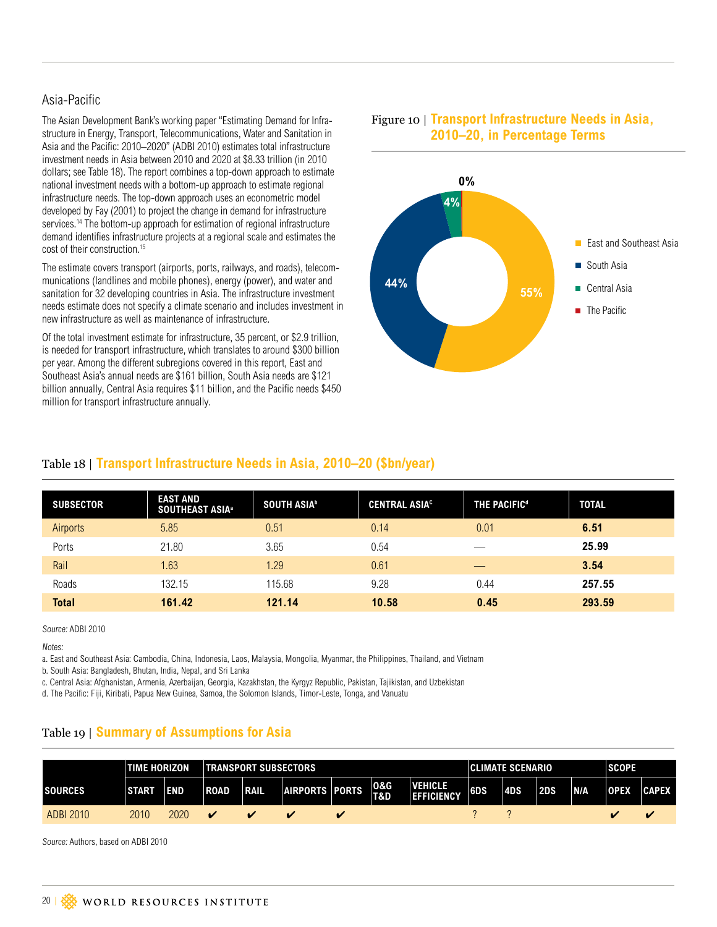#### Asia-Pacific

The Asian Development Bank's working paper "Estimating Demand for Infrastructure in Energy, Transport, Telecommunications, Water and Sanitation in Asia and the Pacific: 2010–2020" (ADBI 2010) estimates total infrastructure investment needs in Asia between 2010 and 2020 at \$8.33 trillion (in 2010 dollars; see Table 18). The report combines a top-down approach to estimate national investment needs with a bottom-up approach to estimate regional infrastructure needs. The top-down approach uses an econometric model developed by Fay (2001) to project the change in demand for infrastructure services.<sup>14</sup> The bottom-up approach for estimation of regional infrastructure demand identifies infrastructure projects at a regional scale and estimates the cost of their construction.15

The estimate covers transport (airports, ports, railways, and roads), telecommunications (landlines and mobile phones), energy (power), and water and sanitation for 32 developing countries in Asia. The infrastructure investment needs estimate does not specify a climate scenario and includes investment in new infrastructure as well as maintenance of infrastructure.

Of the total investment estimate for infrastructure, 35 percent, or \$2.9 trillion, is needed for transport infrastructure, which translates to around \$300 billion per year. Among the different subregions covered in this report, East and Southeast Asia's annual needs are \$161 billion, South Asia needs are \$121 billion annually, Central Asia requires \$11 billion, and the Pacific needs \$450 million for transport infrastructure annually.





#### Table 18 | **Transport Infrastructure Needs in Asia, 2010–20 (\$bn/year)**

| <b>SUBSECTOR</b> | <b>EAST AND</b><br><b>SOUTHEAST ASIA<sup>®</sup></b> | SOUTH ASIA <sup>b</sup> | <b>CENTRAL ASIAC</b> | <b>THE PACIFIC<sup>d</sup></b> | <b>TOTAL</b> |
|------------------|------------------------------------------------------|-------------------------|----------------------|--------------------------------|--------------|
| Airports         | 5.85                                                 | 0.51                    | 0.14                 | 0.01                           | 6.51         |
| Ports            | 21.80                                                | 3.65                    | 0.54                 |                                | 25.99        |
| Rail             | 1.63                                                 | 1.29                    | 0.61                 | __                             | 3.54         |
| Roads            | 132.15                                               | 115.68                  | 9.28                 | 0.44                           | 257.55       |
| <b>Total</b>     | 161.42                                               | 121.14                  | 10.58                | 0.45                           | 293.59       |

Source: ADBI 2010

Notes:

a. East and Southeast Asia: Cambodia, China, Indonesia, Laos, Malaysia, Mongolia, Myanmar, the Philippines, Thailand, and Vietnam

b. South Asia: Bangladesh, Bhutan, India, Nepal, and Sri Lanka

c. Central Asia: Afghanistan, Armenia, Azerbaijan, Georgia, Kazakhstan, the Kyrgyz Republic, Pakistan, Tajikistan, and Uzbekistan

d. The Pacific: Fiji, Kiribati, Papua New Guinea, Samoa, the Solomon Islands, Timor-Leste, Tonga, and Vanuatu

#### Table 19 | **Summary of Assumptions for Asia**

|                  | <b>TIME HORIZON</b> |            |             | <b>TRANSPORT SUBSECTORS</b> |                       |  |            |                                     | <b>CLIMATE SCENARIO</b> |            |     |     | <b>SCOPE</b> |              |
|------------------|---------------------|------------|-------------|-----------------------------|-----------------------|--|------------|-------------------------------------|-------------------------|------------|-----|-----|--------------|--------------|
| <b>ISOURCES</b>  | <b>ISTART</b>       | <b>END</b> | <b>ROAD</b> | <b>RAIL</b>                 | <b>AIRPORTS PORTS</b> |  | 0&G<br>T&D | <b>VEHICLE</b><br><b>EFFICIENCY</b> | 6DS                     | <b>4DS</b> | 2DS | N/A | <b>OPEX</b>  | <b>CAPEX</b> |
| <b>ADBI 2010</b> | 2010                | 2020       |             |                             |                       |  |            |                                     |                         |            |     |     |              |              |

Source: Authors, based on ADBI 2010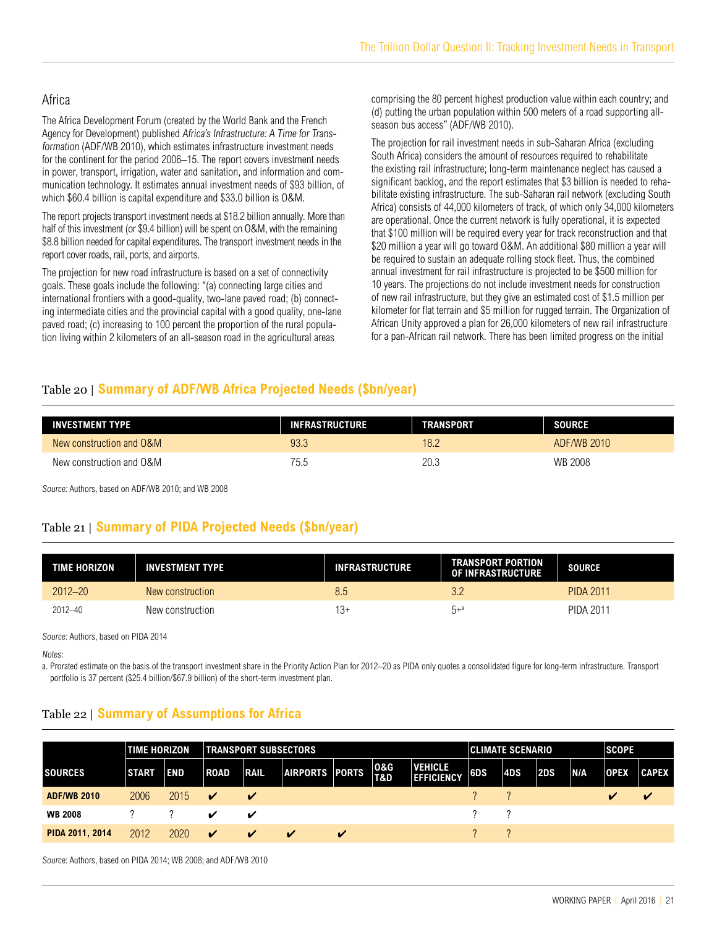#### Africa

The Africa Development Forum (created by the World Bank and the French Agency for Development) published Africa's Infrastructure: A Time for Transformation (ADF/WB 2010), which estimates infrastructure investment needs for the continent for the period 2006–15. The report covers investment needs in power, transport, irrigation, water and sanitation, and information and communication technology. It estimates annual investment needs of \$93 billion, of which \$60.4 billion is capital expenditure and \$33.0 billion is O&M.

The report projects transport investment needs at \$18.2 billion annually. More than half of this investment (or \$9.4 billion) will be spent on O&M, with the remaining \$8.8 billion needed for capital expenditures. The transport investment needs in the report cover roads, rail, ports, and airports.

The projection for new road infrastructure is based on a set of connectivity goals. These goals include the following: "(a) connecting large cities and international frontiers with a good-quality, two-lane paved road; (b) connecting intermediate cities and the provincial capital with a good quality, one-lane paved road; (c) increasing to 100 percent the proportion of the rural population living within 2 kilometers of an all-season road in the agricultural areas

comprising the 80 percent highest production value within each country; and (d) putting the urban population within 500 meters of a road supporting allseason bus access" (ADF/WB 2010).

The projection for rail investment needs in sub-Saharan Africa (excluding South Africa) considers the amount of resources required to rehabilitate the existing rail infrastructure; long-term maintenance neglect has caused a significant backlog, and the report estimates that \$3 billion is needed to rehabilitate existing infrastructure. The sub-Saharan rail network (excluding South Africa) consists of 44,000 kilometers of track, of which only 34,000 kilometers are operational. Once the current network is fully operational, it is expected that \$100 million will be required every year for track reconstruction and that \$20 million a year will go toward O&M. An additional \$80 million a year will be required to sustain an adequate rolling stock fleet. Thus, the combined annual investment for rail infrastructure is projected to be \$500 million for 10 years. The projections do not include investment needs for construction of new rail infrastructure, but they give an estimated cost of \$1.5 million per kilometer for flat terrain and \$5 million for rugged terrain. The Organization of African Unity approved a plan for 26,000 kilometers of new rail infrastructure for a pan-African rail network. There has been limited progress on the initial

#### Table 20 | **Summary of ADF/WB Africa Projected Needs (\$bn/year)**

| <b>INVESTMENT TYPE</b>   | <b>INFRASTRUCTURE</b> | <b>TRANSPORT</b> | <b>SOURCE</b> |
|--------------------------|-----------------------|------------------|---------------|
| New construction and O&M | 93.3                  | 18.2             | ADF/WB 2010   |
| New construction and O&M | 75.5                  | 20.3             | WB 2008       |

Source: Authors, based on ADF/WB 2010; and WB 2008

#### Table 21 | **Summary of PIDA Projected Needs (\$bn/year)**

| <b>TIME HORIZON</b> | <b>INVESTMENT TYPE</b> | <b>INFRASTRUCTURE</b> | <b>TRANSPORT PORTION</b><br>OF INFRASTRUCTURE | <b>SOURCE</b>    |
|---------------------|------------------------|-----------------------|-----------------------------------------------|------------------|
| $2012 - 20$         | New construction       | 8.5                   | 3.2                                           | <b>PIDA 2011</b> |
| $2012 - 40$         | New construction       | 13+                   | $5 + 4$                                       | <b>PIDA 2011</b> |

Source: Authors, based on PIDA 2014

Notes:

a. Prorated estimate on the basis of the transport investment share in the Priority Action Plan for 2012–20 as PIDA only quotes a consolidated figure for long-term infrastructure. Transport portfolio is 37 percent (\$25.4 billion/\$67.9 billion) of the short-term investment plan.

#### Table 22 | **Summary of Assumptions for Africa**

|                    | <b>TIME HORIZON</b> |            |                            | <b>TRANSPORT SUBSECTORS</b> |                    |                            |                       |                                     | <b>CLIMATE SCENARIO</b>                            |            |     |     | <b>SCOPE</b> |              |
|--------------------|---------------------|------------|----------------------------|-----------------------------|--------------------|----------------------------|-----------------------|-------------------------------------|----------------------------------------------------|------------|-----|-----|--------------|--------------|
| <b>SOURCES</b>     | <b>START</b>        | <b>END</b> | <b>ROAD</b>                | <b>RAIL</b>                 | AIRPORTS PORTS     |                            | 0&G<br><b>T&amp;D</b> | <b>VEHICLE</b><br><b>EFFICIENCY</b> | 6DS                                                | <b>4DS</b> | 2DS | N/A | <b>OPEX</b>  | <b>CAPEX</b> |
| <b>ADF/WB 2010</b> | 2006                | 2015       | $\boldsymbol{\mathcal{U}}$ | $\boldsymbol{\mathcal{U}}$  |                    |                            |                       |                                     | $\begin{array}{ccc} \gamma & & \gamma \end{array}$ |            |     |     |              |              |
| <b>WB 2008</b>     |                     | $\gamma$   | ✔                          | ✔                           |                    |                            |                       |                                     | $\gamma$ $\gamma$                                  |            |     |     |              |              |
| PIDA 2011, 2014    | 2012                | 2020       | $\checkmark$               | $\boldsymbol{\checkmark}$   | $\boldsymbol{\nu}$ | $\boldsymbol{\mathcal{U}}$ |                       |                                     |                                                    |            |     |     |              |              |

Source: Authors, based on PIDA 2014; WB 2008; and ADF/WB 2010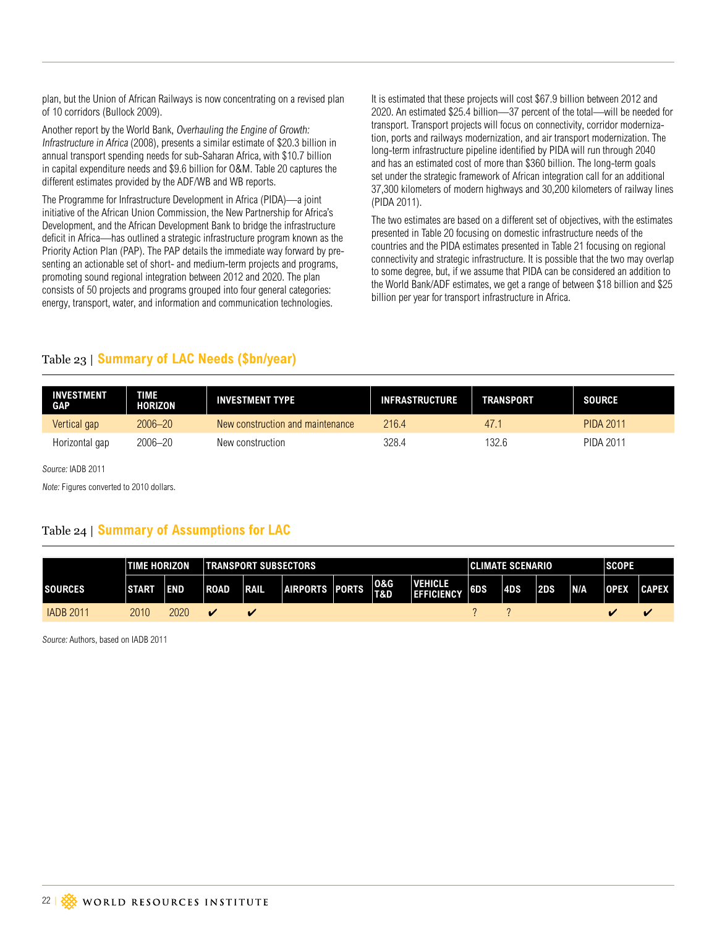plan, but the Union of African Railways is now concentrating on a revised plan of 10 corridors (Bullock 2009).

Another report by the World Bank, Overhauling the Engine of Growth: Infrastructure in Africa (2008), presents a similar estimate of \$20.3 billion in annual transport spending needs for sub-Saharan Africa, with \$10.7 billion in capital expenditure needs and \$9.6 billion for O&M. Table 20 captures the different estimates provided by the ADF/WB and WB reports.

The Programme for Infrastructure Development in Africa (PIDA)—a joint initiative of the African Union Commission, the New Partnership for Africa's Development, and the African Development Bank to bridge the infrastructure deficit in Africa—has outlined a strategic infrastructure program known as the Priority Action Plan (PAP). The PAP details the immediate way forward by presenting an actionable set of short- and medium-term projects and programs, promoting sound regional integration between 2012 and 2020. The plan consists of 50 projects and programs grouped into four general categories: energy, transport, water, and information and communication technologies.

It is estimated that these projects will cost \$67.9 billion between 2012 and 2020. An estimated \$25.4 billion—37 percent of the total—will be needed for transport. Transport projects will focus on connectivity, corridor modernization, ports and railways modernization, and air transport modernization. The long-term infrastructure pipeline identified by PIDA will run through 2040 and has an estimated cost of more than \$360 billion. The long-term goals set under the strategic framework of African integration call for an additional 37,300 kilometers of modern highways and 30,200 kilometers of railway lines (PIDA 2011).

The two estimates are based on a different set of objectives, with the estimates presented in Table 20 focusing on domestic infrastructure needs of the countries and the PIDA estimates presented in Table 21 focusing on regional connectivity and strategic infrastructure. It is possible that the two may overlap to some degree, but, if we assume that PIDA can be considered an addition to the World Bank/ADF estimates, we get a range of between \$18 billion and \$25 billion per year for transport infrastructure in Africa.

#### Table 23 | **Summary of LAC Needs (\$bn/year)**

| <b>INVESTMENT</b><br><b>GAP</b> | <b>TIME</b><br>HORIZON | <b>INVESTMENT TYPE</b>           | <b>INFRASTRUCTURE</b> | <b>TRANSPORT</b> | <b>SOURCE</b>    |
|---------------------------------|------------------------|----------------------------------|-----------------------|------------------|------------------|
| Vertical gap                    | $2006 - 20$            | New construction and maintenance | 216.4                 | 47.1             | <b>PIDA 2011</b> |
| Horizontal gap                  | 2006–20                | New construction                 | 328.4                 | 132.6            | PIDA 2011        |

Source: IADB 2011

Note: Figures converted to 2010 dollars.

#### Table 24 | **Summary of Assumptions for LAC**

|                  | <b>TIME HORIZON</b> |            | <b>TRANSPORT SUBSECTORS</b> |              |                |  |                       |                                     |     | <b>CLIMATE SCENARIO</b> |     |            |             | <b>SCOPE</b> |  |
|------------------|---------------------|------------|-----------------------------|--------------|----------------|--|-----------------------|-------------------------------------|-----|-------------------------|-----|------------|-------------|--------------|--|
| <b>SOURCES</b>   | <b>ISTART</b>       | <b>END</b> | ROAD                        | <b>IRAIL</b> | AIRPORTS PORTS |  | <b>0&amp;G</b><br>T&D | <b>VEHICLE</b><br><b>EFFICIENCY</b> | 6DS | 4DS                     | 2DS | <b>N/A</b> | <b>OPEX</b> | <b>CAPEX</b> |  |
| <b>IADB 2011</b> | 2010                | 2020       | v                           | $\sim$       |                |  |                       |                                     |     |                         |     |            |             |              |  |

Source: Authors, based on IADB 2011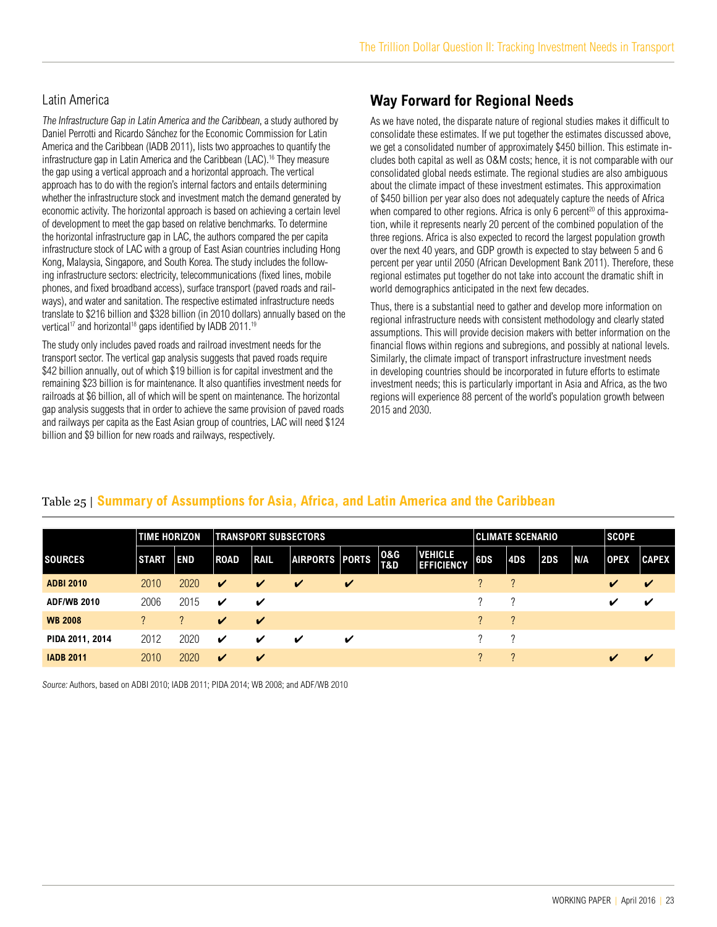#### <span id="page-22-0"></span>Latin America

The Infrastructure Gap in Latin America and the Caribbean, a study authored by Daniel Perrotti and Ricardo Sánchez for the Economic Commission for Latin America and the Caribbean (IADB 2011), lists two approaches to quantify the infrastructure gap in Latin America and the Caribbean (LAC).<sup>16</sup> They measure the gap using a vertical approach and a horizontal approach. The vertical approach has to do with the region's internal factors and entails determining whether the infrastructure stock and investment match the demand generated by economic activity. The horizontal approach is based on achieving a certain level of development to meet the gap based on relative benchmarks. To determine the horizontal infrastructure gap in LAC, the authors compared the per capita infrastructure stock of LAC with a group of East Asian countries including Hong Kong, Malaysia, Singapore, and South Korea. The study includes the following infrastructure sectors: electricity, telecommunications (fixed lines, mobile phones, and fixed broadband access), surface transport (paved roads and railways), and water and sanitation. The respective estimated infrastructure needs translate to \$216 billion and \$328 billion (in 2010 dollars) annually based on the vertical<sup>17</sup> and horizontal<sup>18</sup> gaps identified by IADB 2011.<sup>19</sup>

The study only includes paved roads and railroad investment needs for the transport sector. The vertical gap analysis suggests that paved roads require \$42 billion annually, out of which \$19 billion is for capital investment and the remaining \$23 billion is for maintenance. It also quantifies investment needs for railroads at \$6 billion, all of which will be spent on maintenance. The horizontal gap analysis suggests that in order to achieve the same provision of paved roads and railways per capita as the East Asian group of countries, LAC will need \$124 billion and \$9 billion for new roads and railways, respectively.

### **Way Forward for Regional Needs**

As we have noted, the disparate nature of regional studies makes it difficult to consolidate these estimates. If we put together the estimates discussed above, we get a consolidated number of approximately \$450 billion. This estimate includes both capital as well as O&M costs; hence, it is not comparable with our consolidated global needs estimate. The regional studies are also ambiguous about the climate impact of these investment estimates. This approximation of \$450 billion per year also does not adequately capture the needs of Africa when compared to other regions. Africa is only 6 percent<sup>20</sup> of this approximation, while it represents nearly 20 percent of the combined population of the three regions. Africa is also expected to record the largest population growth over the next 40 years, and GDP growth is expected to stay between 5 and 6 percent per year until 2050 (African Development Bank 2011). Therefore, these regional estimates put together do not take into account the dramatic shift in world demographics anticipated in the next few decades.

Thus, there is a substantial need to gather and develop more information on regional infrastructure needs with consistent methodology and clearly stated assumptions. This will provide decision makers with better information on the financial flows within regions and subregions, and possibly at national levels. Similarly, the climate impact of transport infrastructure investment needs in developing countries should be incorporated in future efforts to estimate investment needs; this is particularly important in Asia and Africa, as the two regions will experience 88 percent of the world's population growth between 2015 and 2030.

#### Table 25 | **Summary of Assumptions for Asia, Africa, and Latin America and the Caribbean**

|                    | <b>TIME HORIZON</b> |            | <b>TRANSPORT SUBSECTORS</b> |                    |                |   |                       |                                     |     | <b>CLIMATE SCENARIO</b> |     |     |             | <b>SCOPE</b> |  |
|--------------------|---------------------|------------|-----------------------------|--------------------|----------------|---|-----------------------|-------------------------------------|-----|-------------------------|-----|-----|-------------|--------------|--|
| <b>SOURCES</b>     | <b>START</b>        | <b>END</b> | <b>ROAD</b>                 | <b>RAIL</b>        | AIRPORTS PORTS |   | 0&G<br><b>T&amp;D</b> | <b>VEHICLE</b><br><b>EFFICIENCY</b> | 6DS | 4DS                     | 2DS | N/A | <b>OPEX</b> | <b>CAPEX</b> |  |
| <b>ADBI 2010</b>   | 2010                | 2020       | V                           | V                  | V              | V |                       |                                     |     |                         |     |     | V           | ✓            |  |
| <b>ADF/WB 2010</b> | 2006                | 2015       | ✔                           | ✔                  |                |   |                       |                                     |     |                         |     |     | ✔           | v            |  |
| <b>WB 2008</b>     |                     |            | V                           | ✔                  |                |   |                       |                                     | 2   | $\gamma$                |     |     |             |              |  |
| PIDA 2011, 2014    | 2012                | 2020       | V                           | V                  | $\checkmark$   | ✔ |                       |                                     |     | っ                       |     |     |             |              |  |
| <b>IADB 2011</b>   | 2010                | 2020       | $\boldsymbol{\checkmark}$   | $\boldsymbol{\nu}$ |                |   |                       |                                     |     |                         |     |     | v           | v            |  |

Source: Authors, based on ADBI 2010; IADB 2011; PIDA 2014; WB 2008; and ADF/WB 2010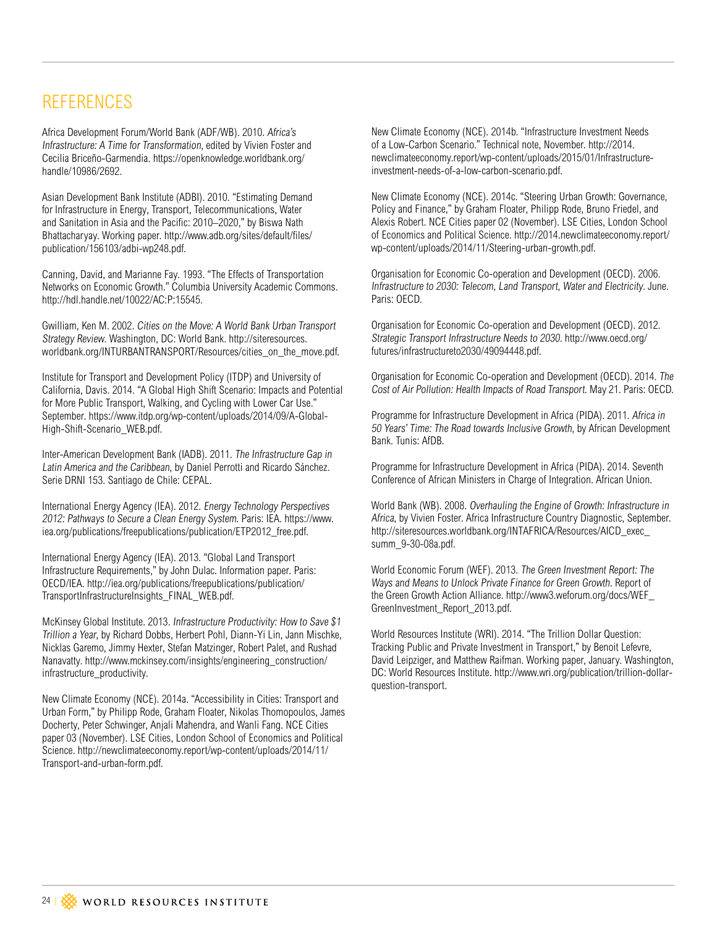# <span id="page-23-0"></span>**REFERENCES**

Africa Development Forum/World Bank (ADF/WB). 2010. Africa's Infrastructure: A Time for Transformation, edited by Vivien Foster and Cecilia Briceño-Garmendia. [https://openknowledge.worldbank.org/](https://openknowledge.worldbank.org/handle/10986/2692) [handle/10986/2692](https://openknowledge.worldbank.org/handle/10986/2692).

Asian Development Bank Institute (ADBI). 2010. "Estimating Demand for Infrastructure in Energy, Transport, Telecommunications, Water and Sanitation in Asia and the Pacific: 2010–2020," by Biswa Nath Bhattacharyay. Working paper. [http://www.adb.org/sites/default/files/](http://www.adb.org/sites/default/files/publication/156103/adbi-wp248.pdf) [publication/156103/adbi-wp248.pdf.](http://www.adb.org/sites/default/files/publication/156103/adbi-wp248.pdf)

Canning, David, and Marianne Fay. 1993. "The Effects of Transportation Networks on Economic Growth." Columbia University Academic Commons. [http://hdl.handle.net/10022/AC:](http://hdl.handle.net/10022/AC)P:15545.

Gwilliam, Ken M. 2002. Cities on the Move: A World Bank Urban Transport Strategy Review. Washington, DC: World Bank. [http://siteresources.](http://siteresources.worldbank.org/INTURBANTRANSPORT/Resources/cities_on_the_move.pdf) [worldbank.org/INTURBANTRANSPORT/Resources/cities\\_on\\_the\\_move.pdf](http://siteresources.worldbank.org/INTURBANTRANSPORT/Resources/cities_on_the_move.pdf).

Institute for Transport and Development Policy (ITDP) and University of California, Davis. 2014. "A Global High Shift Scenario: Impacts and Potential for More Public Transport, Walking, and Cycling with Lower Car Use." September. [https://www.itdp.org/wp-content/uploads/2014/09/A-Global-](https://www.itdp.org/wp-content/uploads/2014/09/A-Global-High-Shift-Scenario_WEB.pdf)[High-Shift-Scenario\\_WEB.pdf](https://www.itdp.org/wp-content/uploads/2014/09/A-Global-High-Shift-Scenario_WEB.pdf).

Inter-American Development Bank (IADB). 2011. The Infrastructure Gap in Latin America and the Caribbean, by Daniel Perrotti and Ricardo Sánchez. Serie DRNI 153. Santiago de Chile: CEPAL.

International Energy Agency (IEA). 2012. Energy Technology Perspectives 2012: Pathways to Secure a Clean Energy System. Paris: IEA. [https://www.](https://www.iea.org/publications/freepublications/publication/ETP2012_free.pdf) [iea.org/publications/freepublications/publication/ETP2012\\_free.pdf](https://www.iea.org/publications/freepublications/publication/ETP2012_free.pdf).

International Energy Agency (IEA). 2013. "Global Land Transport Infrastructure Requirements," by John Dulac. Information paper. Paris: OECD/IEA. [http://iea.org/publications/freepublications/publication/](http://iea.org/publications/freepublications/publication/TransportInfrastructureInsights_FINAL_WEB.pdf) [TransportInfrastructureInsights\\_FINAL\\_WEB.pdf.](http://iea.org/publications/freepublications/publication/TransportInfrastructureInsights_FINAL_WEB.pdf)

McKinsey Global Institute. 2013. Infrastructure Productivity: How to Save \$1 Trillion a Year, by Richard Dobbs, Herbert Pohl, Diann-Yi Lin, Jann Mischke, Nicklas Garemo, Jimmy Hexter, Stefan Matzinger, Robert Palet, and Rushad Nanavatty. [http://www.mckinsey.com/insights/engineering\\_construction/](http://www.mckinsey.com/insights/engineering_construction/infrastructure_productivity) [infrastructure\\_productivity.](http://www.mckinsey.com/insights/engineering_construction/infrastructure_productivity)

New Climate Economy (NCE). 2014a. "Accessibility in Cities: Transport and Urban Form," by Philipp Rode, Graham Floater, Nikolas Thomopoulos, James Docherty, Peter Schwinger, Anjali Mahendra, and Wanli Fang. NCE Cities paper 03 (November). LSE Cities, London School of Economics and Political Science. [http://newclimateeconomy.report/wp-content/uploads/2014/11/](http://newclimateeconomy.report/wp-content/uploads/2014/11/Transport-and-urban-form.pdf) [Transport-and-urban-form.pdf](http://newclimateeconomy.report/wp-content/uploads/2014/11/Transport-and-urban-form.pdf).

New Climate Economy (NCE). 2014b. "Infrastructure Investment Needs of a Low-Carbon Scenario." Technical note, November. [http://2014.](http://2014.newclimateeconomy.report/wp-content/uploads/2015/01/Infrastructure-investment-needs-of-a-low-carbon-scenario.pdf) [newclimateeconomy.report/wp-content/uploads/2015/01/Infrastructure](http://2014.newclimateeconomy.report/wp-content/uploads/2015/01/Infrastructure-investment-needs-of-a-low-carbon-scenario.pdf)[investment-needs-of-a-low-carbon-scenario.pdf](http://2014.newclimateeconomy.report/wp-content/uploads/2015/01/Infrastructure-investment-needs-of-a-low-carbon-scenario.pdf).

New Climate Economy (NCE). 2014c. "Steering Urban Growth: Governance, Policy and Finance," by Graham Floater, Philipp Rode, Bruno Friedel, and Alexis Robert. NCE Cities paper 02 (November). LSE Cities, London School of Economics and Political Science. [http://2014.newclimateeconomy.report/](http://2014.newclimateeconomy.report/wp-content/uploads/2014/11/Steering-urban-growth.pdf) [wp-content/uploads/2014/11/Steering-urban-growth.pdf.](http://2014.newclimateeconomy.report/wp-content/uploads/2014/11/Steering-urban-growth.pdf)

Organisation for Economic Co-operation and Development (OECD). 2006. Infrastructure to 2030: Telecom, Land Transport, Water and Electricity. June. Paris: OECD.

Organisation for Economic Co-operation and Development (OECD). 2012. Strategic Transport Infrastructure Needs to 2030. [http://www.oecd.org/](http://www.oecd.org/futures/infrastructureto2030/49094448.pdf) [futures/infrastructureto2030/49094448.pdf](http://www.oecd.org/futures/infrastructureto2030/49094448.pdf).

Organisation for Economic Co-operation and Development (OECD). 2014. The Cost of Air Pollution: Health Impacts of Road Transport. May 21. Paris: OECD.

Programme for Infrastructure Development in Africa (PIDA). 2011. Africa in 50 Years' Time: The Road towards Inclusive Growth, by African Development Bank. Tunis: AfDB.

Programme for Infrastructure Development in Africa (PIDA). 2014. Seventh Conference of African Ministers in Charge of Integration. African Union.

World Bank (WB). 2008. Overhauling the Engine of Growth: Infrastructure in Africa, by Vivien Foster. Africa Infrastructure Country Diagnostic, September. http://siteresources.worldbank.org/INTAFRICA/Resources/AICD\_exec [summ\\_9-30-08a.pdf.](http://siteresources.worldbank.org/INTAFRICA/Resources/AICD_exec_summ_9-30-08a.pdf)

World Economic Forum (WEF). 2013. The Green Investment Report: The Ways and Means to Unlock Private Finance for Green Growth. Report of the Green Growth Action Alliance. [http://www3.weforum.org/docs/WEF\\_](http://www3.weforum.org/docs/WEF_GreenInvestment_Report_2013.pdf) [GreenInvestment\\_Report\\_2013.pdf](http://www3.weforum.org/docs/WEF_GreenInvestment_Report_2013.pdf).

World Resources Institute (WRI). 2014. "The Trillion Dollar Question: Tracking Public and Private Investment in Transport," by Benoit Lefevre, David Leipziger, and Matthew Raifman. Working paper, January. Washington, DC: World Resources Institute. [http://www.wri.org/publication/trillion-](http://www.wri.org/publication/trillion)dollarquestion-transport.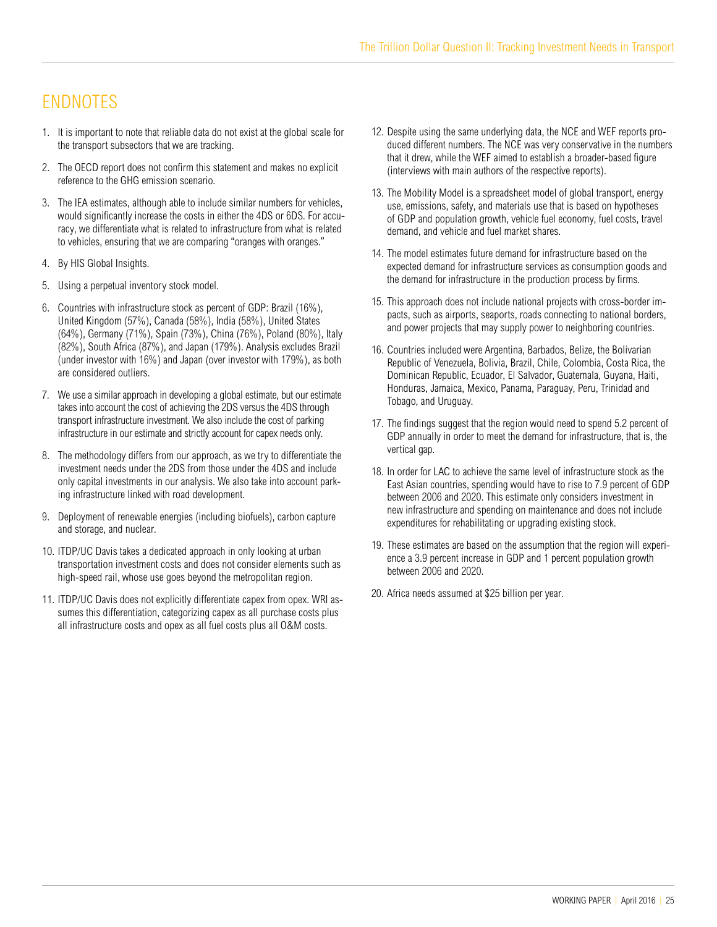# **ENDNOTES**

- 1. It is important to note that reliable data do not exist at the global scale for the transport subsectors that we are tracking.
- 2. The OECD report does not confirm this statement and makes no explicit reference to the GHG emission scenario.
- 3. The IEA estimates, although able to include similar numbers for vehicles, would significantly increase the costs in either the 4DS or 6DS. For accuracy, we differentiate what is related to infrastructure from what is related to vehicles, ensuring that we are comparing "oranges with oranges."
- 4. By HIS Global Insights.
- 5. Using a perpetual inventory stock model.
- 6. Countries with infrastructure stock as percent of GDP: Brazil (16%), United Kingdom (57%), Canada (58%), India (58%), United States (64%), Germany (71%), Spain (73%), China (76%), Poland (80%), Italy (82%), South Africa (87%), and Japan (179%). Analysis excludes Brazil (under investor with 16%) and Japan (over investor with 179%), as both are considered outliers.
- 7. We use a similar approach in developing a global estimate, but our estimate takes into account the cost of achieving the 2DS versus the 4DS through transport infrastructure investment. We also include the cost of parking infrastructure in our estimate and strictly account for capex needs only.
- 8. The methodology differs from our approach, as we try to differentiate the investment needs under the 2DS from those under the 4DS and include only capital investments in our analysis. We also take into account parking infrastructure linked with road development.
- 9. Deployment of renewable energies (including biofuels), carbon capture and storage, and nuclear.
- 10. ITDP/UC Davis takes a dedicated approach in only looking at urban transportation investment costs and does not consider elements such as high-speed rail, whose use goes beyond the metropolitan region.
- 11. ITDP/UC Davis does not explicitly differentiate capex from opex. WRI assumes this differentiation, categorizing capex as all purchase costs plus all infrastructure costs and opex as all fuel costs plus all O&M costs.
- 12. Despite using the same underlying data, the NCE and WEF reports produced different numbers. The NCE was very conservative in the numbers that it drew, while the WEF aimed to establish a broader-based figure (interviews with main authors of the respective reports).
- 13. The Mobility Model is a spreadsheet model of global transport, energy use, emissions, safety, and materials use that is based on hypotheses of GDP and population growth, vehicle fuel economy, fuel costs, travel demand, and vehicle and fuel market shares.
- 14. The model estimates future demand for infrastructure based on the expected demand for infrastructure services as consumption goods and the demand for infrastructure in the production process by firms.
- 15. This approach does not include national projects with cross-border impacts, such as airports, seaports, roads connecting to national borders, and power projects that may supply power to neighboring countries.
- 16. Countries included were Argentina, Barbados, Belize, the Bolivarian Republic of Venezuela, Bolivia, Brazil, Chile, Colombia, Costa Rica, the Dominican Republic, Ecuador, El Salvador, Guatemala, Guyana, Haiti, Honduras, Jamaica, Mexico, Panama, Paraguay, Peru, Trinidad and Tobago, and Uruguay.
- 17. The findings suggest that the region would need to spend 5.2 percent of GDP annually in order to meet the demand for infrastructure, that is, the vertical gap.
- 18. In order for LAC to achieve the same level of infrastructure stock as the East Asian countries, spending would have to rise to 7.9 percent of GDP between 2006 and 2020. This estimate only considers investment in new infrastructure and spending on maintenance and does not include expenditures for rehabilitating or upgrading existing stock.
- 19. These estimates are based on the assumption that the region will experience a 3.9 percent increase in GDP and 1 percent population growth between 2006 and 2020.
- 20. Africa needs assumed at \$25 billion per year.